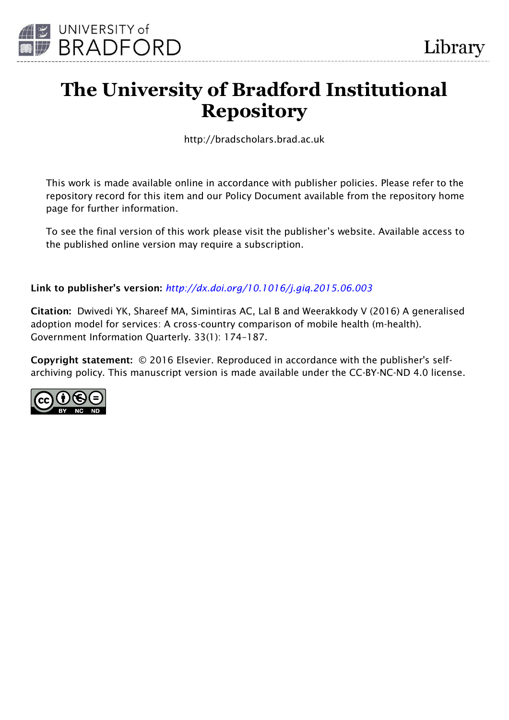

# **The University of Bradford Institutional Repository**

http://bradscholars.brad.ac.uk

This work is made available online in accordance with publisher policies. Please refer to the repository record for this item and our Policy Document available from the repository home page for further information.

To see the final version of this work please visit the publisher's website. Available access to the published online version may require a subscription.

**Link to publisher's version:** *<http://dx.doi.org/10.1016/j.giq.2015.06.003>*

**Citation:** Dwivedi YK, Shareef MA, Simintiras AC, Lal B and Weerakkody V (2016) A generalised adoption model for services: A cross-country comparison of mobile health (m-health). Government Information Quarterly. 33(1): 174–187.

**Copyright statement:** © 2016 Elsevier. Reproduced in accordance with the publisher's selfarchiving policy. This manuscript version is made available under the CC-BY-NC-ND 4.0 license.

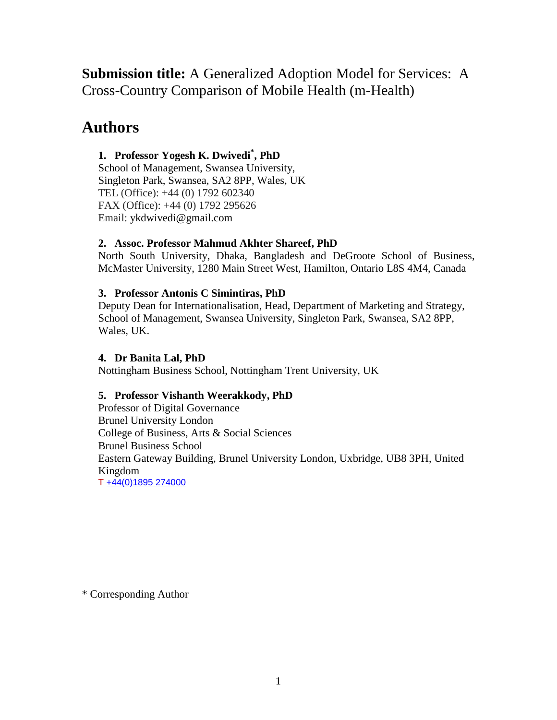# **Submission title:** A Generalized Adoption Model for Services: A Cross-Country Comparison of Mobile Health (m-Health)

# **Authors**

# **1. Professor Yogesh K. Dwivedi\* , PhD**

School of Management, Swansea University, Singleton Park, Swansea, SA2 8PP, Wales, UK TEL (Office): +44 (0) 1792 602340 FAX (Office): +44 (0) 1792 295626 Email: ykdwivedi@gmail.com

## **2. Assoc. Professor Mahmud Akhter Shareef, PhD**

North South University, Dhaka, Bangladesh and DeGroote School of Business, McMaster University, 1280 Main Street West, Hamilton, Ontario L8S 4M4, Canada

## **3. Professor Antonis C Simintiras, PhD**

Deputy Dean for Internationalisation, Head, Department of Marketing and Strategy, School of Management, Swansea University, Singleton Park, Swansea, SA2 8PP, Wales, UK.

# **4. Dr Banita Lal, PhD**

Nottingham Business School, Nottingham Trent University, UK

# **5. Professor Vishanth Weerakkody, PhD**

Professor of Digital Governance Brunel University London College of Business, Arts & Social Sciences Brunel Business School Eastern Gateway Building, Brunel University London, Uxbridge, UB8 3PH, United Kingdom T [+44\(0\)1895 274000](tel:%2B44%280%291895%20274000)

\* Corresponding Author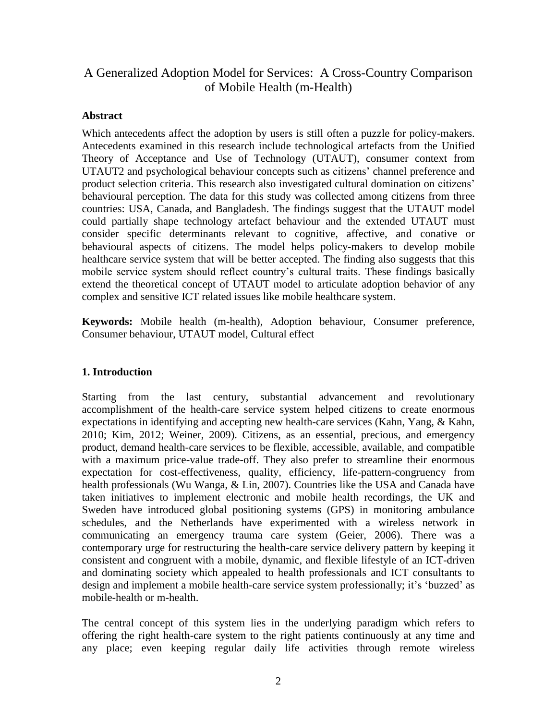# A Generalized Adoption Model for Services: A Cross-Country Comparison of Mobile Health (m-Health)

#### **Abstract**

Which antecedents affect the adoption by users is still often a puzzle for policy-makers. Antecedents examined in this research include technological artefacts from the Unified Theory of Acceptance and Use of Technology (UTAUT), consumer context from UTAUT2 and psychological behaviour concepts such as citizens' channel preference and product selection criteria. This research also investigated cultural domination on citizens' behavioural perception. The data for this study was collected among citizens from three countries: USA, Canada, and Bangladesh. The findings suggest that the UTAUT model could partially shape technology artefact behaviour and the extended UTAUT must consider specific determinants relevant to cognitive, affective, and conative or behavioural aspects of citizens. The model helps policy-makers to develop mobile healthcare service system that will be better accepted. The finding also suggests that this mobile service system should reflect country's cultural traits. These findings basically extend the theoretical concept of UTAUT model to articulate adoption behavior of any complex and sensitive ICT related issues like mobile healthcare system.

**Keywords:** Mobile health (m-health), Adoption behaviour, Consumer preference, Consumer behaviour, UTAUT model, Cultural effect

#### **1. Introduction**

Starting from the last century, substantial advancement and revolutionary accomplishment of the health-care service system helped citizens to create enormous expectations in identifying and accepting new health-care services (Kahn, Yang, & Kahn, 2010; Kim, 2012; Weiner, 2009). Citizens, as an essential, precious, and emergency product, demand health-care services to be flexible, accessible, available, and compatible with a maximum price-value trade-off. They also prefer to streamline their enormous expectation for cost-effectiveness, quality, efficiency, life-pattern-congruency from health professionals (Wu Wanga, & Lin, 2007). Countries like the USA and Canada have taken initiatives to implement electronic and mobile health recordings, the UK and Sweden have introduced global positioning systems (GPS) in monitoring ambulance schedules, and the Netherlands have experimented with a wireless network in communicating an emergency trauma care system (Geier, 2006). There was a contemporary urge for restructuring the health-care service delivery pattern by keeping it consistent and congruent with a mobile, dynamic, and flexible lifestyle of an ICT-driven and dominating society which appealed to health professionals and ICT consultants to design and implement a mobile health-care service system professionally; it's 'buzzed' as mobile-health or m-health.

The central concept of this system lies in the underlying paradigm which refers to offering the right health-care system to the right patients continuously at any time and any place; even keeping regular daily life activities through remote wireless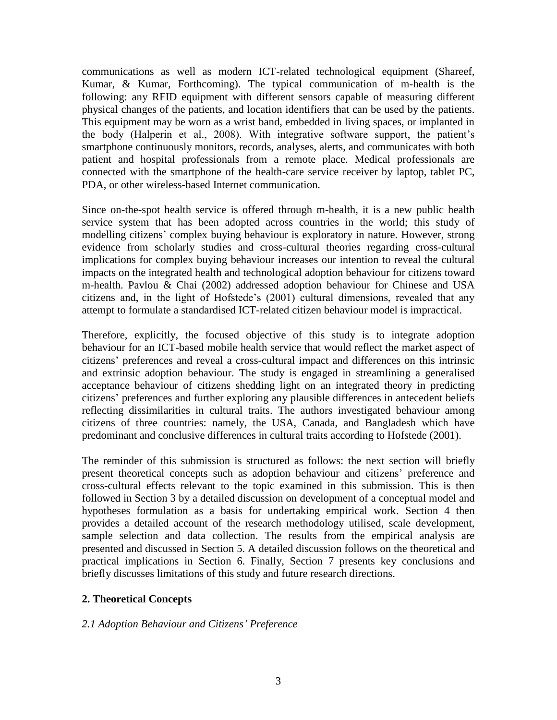communications as well as modern ICT-related technological equipment (Shareef, Kumar, & Kumar, Forthcoming). The typical communication of m-health is the following: any RFID equipment with different sensors capable of measuring different physical changes of the patients, and location identifiers that can be used by the patients. This equipment may be worn as a wrist band, embedded in living spaces, or implanted in the body (Halperin et al., 2008). With integrative software support, the patient's smartphone continuously monitors, records, analyses, alerts, and communicates with both patient and hospital professionals from a remote place. Medical professionals are connected with the smartphone of the health-care service receiver by laptop, tablet PC, PDA, or other wireless-based Internet communication.

Since on-the-spot health service is offered through m-health, it is a new public health service system that has been adopted across countries in the world; this study of modelling citizens' complex buying behaviour is exploratory in nature. However, strong evidence from scholarly studies and cross-cultural theories regarding cross-cultural implications for complex buying behaviour increases our intention to reveal the cultural impacts on the integrated health and technological adoption behaviour for citizens toward m-health. Pavlou & Chai (2002) addressed adoption behaviour for Chinese and USA citizens and, in the light of Hofstede's (2001) cultural dimensions, revealed that any attempt to formulate a standardised ICT-related citizen behaviour model is impractical.

Therefore, explicitly, the focused objective of this study is to integrate adoption behaviour for an ICT-based mobile health service that would reflect the market aspect of citizens' preferences and reveal a cross-cultural impact and differences on this intrinsic and extrinsic adoption behaviour. The study is engaged in streamlining a generalised acceptance behaviour of citizens shedding light on an integrated theory in predicting citizens' preferences and further exploring any plausible differences in antecedent beliefs reflecting dissimilarities in cultural traits. The authors investigated behaviour among citizens of three countries: namely, the USA, Canada, and Bangladesh which have predominant and conclusive differences in cultural traits according to Hofstede (2001).

The reminder of this submission is structured as follows: the next section will briefly present theoretical concepts such as adoption behaviour and citizens' preference and cross-cultural effects relevant to the topic examined in this submission. This is then followed in Section 3 by a detailed discussion on development of a conceptual model and hypotheses formulation as a basis for undertaking empirical work. Section 4 then provides a detailed account of the research methodology utilised, scale development, sample selection and data collection. The results from the empirical analysis are presented and discussed in Section 5. A detailed discussion follows on the theoretical and practical implications in Section 6. Finally, Section 7 presents key conclusions and briefly discusses limitations of this study and future research directions.

#### **2. Theoretical Concepts**

#### *2.1 Adoption Behaviour and Citizens' Preference*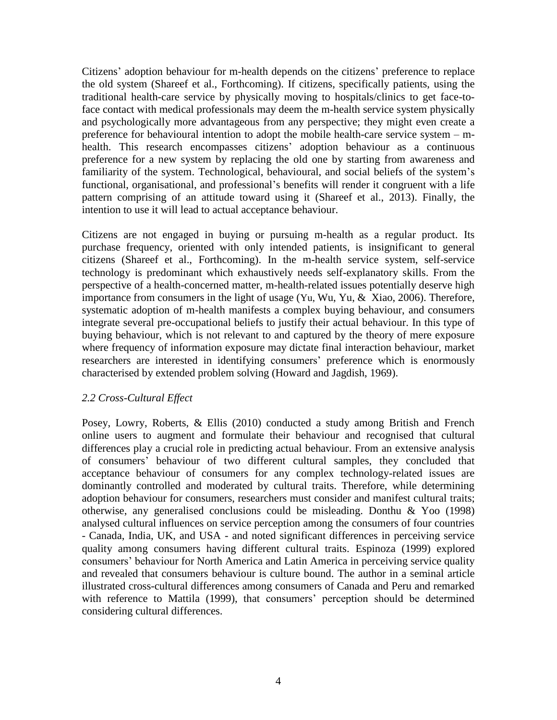Citizens' adoption behaviour for m-health depends on the citizens' preference to replace the old system (Shareef et al., Forthcoming). If citizens, specifically patients, using the traditional health-care service by physically moving to hospitals/clinics to get face-toface contact with medical professionals may deem the m-health service system physically and psychologically more advantageous from any perspective; they might even create a preference for behavioural intention to adopt the mobile health-care service system – mhealth. This research encompasses citizens' adoption behaviour as a continuous preference for a new system by replacing the old one by starting from awareness and familiarity of the system. Technological, behavioural, and social beliefs of the system's functional, organisational, and professional's benefits will render it congruent with a life pattern comprising of an attitude toward using it (Shareef et al., 2013). Finally, the intention to use it will lead to actual acceptance behaviour.

Citizens are not engaged in buying or pursuing m-health as a regular product. Its purchase frequency, oriented with only intended patients, is insignificant to general citizens (Shareef et al., Forthcoming). In the m-health service system, self-service technology is predominant which exhaustively needs self-explanatory skills. From the perspective of a health-concerned matter, m-health-related issues potentially deserve high importance from consumers in the light of usage (Yu, Wu, Yu, & Xiao, 2006). Therefore, systematic adoption of m-health manifests a complex buying behaviour, and consumers integrate several pre-occupational beliefs to justify their actual behaviour. In this type of buying behaviour, which is not relevant to and captured by the theory of mere exposure where frequency of information exposure may dictate final interaction behaviour, market researchers are interested in identifying consumers' preference which is enormously characterised by extended problem solving (Howard and Jagdish, 1969).

#### *2.2 Cross-Cultural Effect*

Posey, Lowry, Roberts, & Ellis (2010) conducted a study among British and French online users to augment and formulate their behaviour and recognised that cultural differences play a crucial role in predicting actual behaviour. From an extensive analysis of consumers' behaviour of two different cultural samples, they concluded that acceptance behaviour of consumers for any complex technology-related issues are dominantly controlled and moderated by cultural traits. Therefore, while determining adoption behaviour for consumers, researchers must consider and manifest cultural traits; otherwise, any generalised conclusions could be misleading. Donthu & Yoo (1998) analysed cultural influences on service perception among the consumers of four countries - Canada, India, UK, and USA - and noted significant differences in perceiving service quality among consumers having different cultural traits. Espinoza (1999) explored consumers' behaviour for North America and Latin America in perceiving service quality and revealed that consumers behaviour is culture bound. The author in a seminal article illustrated cross-cultural differences among consumers of Canada and Peru and remarked with reference to Mattila (1999), that consumers' perception should be determined considering cultural differences.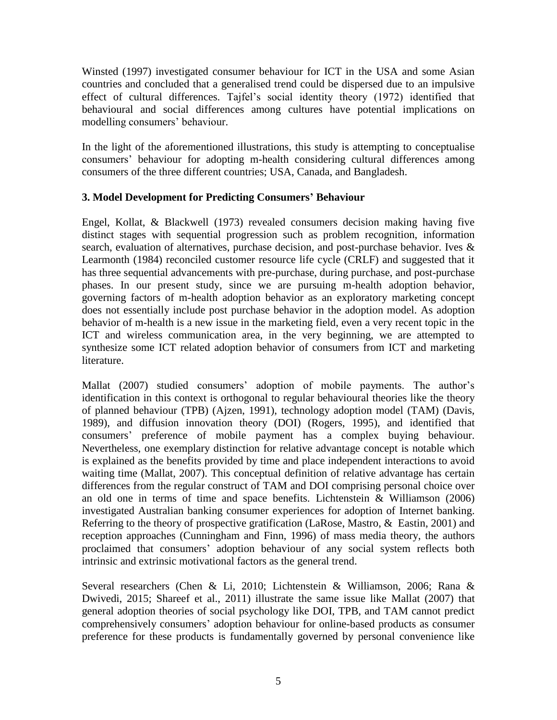Winsted (1997) investigated consumer behaviour for ICT in the USA and some Asian countries and concluded that a generalised trend could be dispersed due to an impulsive effect of cultural differences. Tajfel's social identity theory (1972) identified that behavioural and social differences among cultures have potential implications on modelling consumers' behaviour.

In the light of the aforementioned illustrations, this study is attempting to conceptualise consumers' behaviour for adopting m-health considering cultural differences among consumers of the three different countries; USA, Canada, and Bangladesh.

## **3. Model Development for Predicting Consumers' Behaviour**

Engel, Kollat, & Blackwell (1973) revealed consumers decision making having five distinct stages with sequential progression such as problem recognition, information search, evaluation of alternatives, purchase decision, and post-purchase behavior. Ives & Learmonth (1984) reconciled customer resource life cycle (CRLF) and suggested that it has three sequential advancements with pre-purchase, during purchase, and post-purchase phases. In our present study, since we are pursuing m-health adoption behavior, governing factors of m-health adoption behavior as an exploratory marketing concept does not essentially include post purchase behavior in the adoption model. As adoption behavior of m-health is a new issue in the marketing field, even a very recent topic in the ICT and wireless communication area, in the very beginning, we are attempted to synthesize some ICT related adoption behavior of consumers from ICT and marketing literature.

Mallat (2007) studied consumers' adoption of mobile payments. The author's identification in this context is orthogonal to regular behavioural theories like the theory of planned behaviour (TPB) (Ajzen, 1991), technology adoption model (TAM) (Davis, 1989), and diffusion innovation theory (DOI) (Rogers, 1995), and identified that consumers' preference of mobile payment has a complex buying behaviour. Nevertheless, one exemplary distinction for relative advantage concept is notable which is explained as the benefits provided by time and place independent interactions to avoid waiting time (Mallat, 2007). This conceptual definition of relative advantage has certain differences from the regular construct of TAM and DOI comprising personal choice over an old one in terms of time and space benefits. Lichtenstein & Williamson (2006) investigated Australian banking consumer experiences for adoption of Internet banking. Referring to the theory of prospective gratification (LaRose, Mastro, & Eastin, 2001) and reception approaches (Cunningham and Finn, 1996) of mass media theory, the authors proclaimed that consumers' adoption behaviour of any social system reflects both intrinsic and extrinsic motivational factors as the general trend.

Several researchers (Chen & Li, 2010; Lichtenstein & Williamson, 2006; Rana & Dwivedi, 2015; Shareef et al., 2011) illustrate the same issue like Mallat (2007) that general adoption theories of social psychology like DOI, TPB, and TAM cannot predict comprehensively consumers' adoption behaviour for online-based products as consumer preference for these products is fundamentally governed by personal convenience like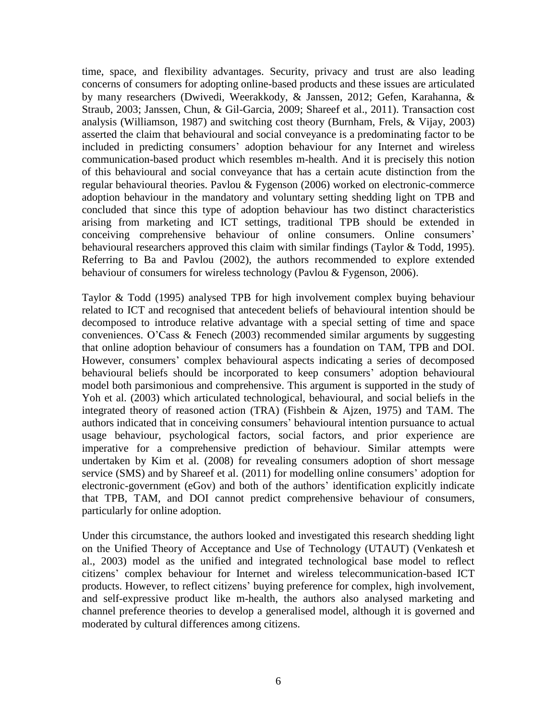time, space, and flexibility advantages. Security, privacy and trust are also leading concerns of consumers for adopting online-based products and these issues are articulated by many researchers (Dwivedi, Weerakkody, & Janssen, 2012; Gefen, Karahanna, & Straub, 2003; Janssen, Chun, & Gil-Garcia, 2009; Shareef et al., 2011). Transaction cost analysis (Williamson, 1987) and switching cost theory (Burnham, Frels, & Vijay, 2003) asserted the claim that behavioural and social conveyance is a predominating factor to be included in predicting consumers' adoption behaviour for any Internet and wireless communication-based product which resembles m-health. And it is precisely this notion of this behavioural and social conveyance that has a certain acute distinction from the regular behavioural theories. Pavlou & Fygenson (2006) worked on electronic-commerce adoption behaviour in the mandatory and voluntary setting shedding light on TPB and concluded that since this type of adoption behaviour has two distinct characteristics arising from marketing and ICT settings, traditional TPB should be extended in conceiving comprehensive behaviour of online consumers. Online consumers' behavioural researchers approved this claim with similar findings (Taylor & Todd, 1995). Referring to Ba and Pavlou (2002), the authors recommended to explore extended behaviour of consumers for wireless technology (Pavlou & Fygenson, 2006).

Taylor & Todd (1995) analysed TPB for high involvement complex buying behaviour related to ICT and recognised that antecedent beliefs of behavioural intention should be decomposed to introduce relative advantage with a special setting of time and space conveniences. O'Cass & Fenech (2003) recommended similar arguments by suggesting that online adoption behaviour of consumers has a foundation on TAM, TPB and DOI. However, consumers' complex behavioural aspects indicating a series of decomposed behavioural beliefs should be incorporated to keep consumers' adoption behavioural model both parsimonious and comprehensive. This argument is supported in the study of Yoh et al. (2003) which articulated technological, behavioural, and social beliefs in the integrated theory of reasoned action (TRA) (Fishbein & Ajzen, 1975) and TAM. The authors indicated that in conceiving consumers' behavioural intention pursuance to actual usage behaviour, psychological factors, social factors, and prior experience are imperative for a comprehensive prediction of behaviour. Similar attempts were undertaken by Kim et al. (2008) for revealing consumers adoption of short message service (SMS) and by Shareef et al. (2011) for modelling online consumers' adoption for electronic-government (eGov) and both of the authors' identification explicitly indicate that TPB, TAM, and DOI cannot predict comprehensive behaviour of consumers, particularly for online adoption.

Under this circumstance, the authors looked and investigated this research shedding light on the Unified Theory of Acceptance and Use of Technology (UTAUT) (Venkatesh et al., 2003) model as the unified and integrated technological base model to reflect citizens' complex behaviour for Internet and wireless telecommunication-based ICT products. However, to reflect citizens' buying preference for complex, high involvement, and self-expressive product like m-health, the authors also analysed marketing and channel preference theories to develop a generalised model, although it is governed and moderated by cultural differences among citizens.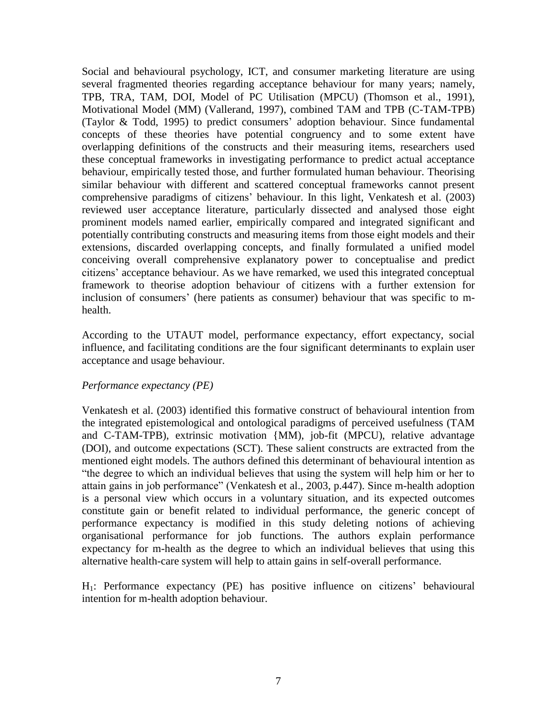Social and behavioural psychology, ICT, and consumer marketing literature are using several fragmented theories regarding acceptance behaviour for many years; namely, TPB, TRA, TAM, DOI, Model of PC Utilisation (MPCU) (Thomson et al., 1991), Motivational Model (MM) (Vallerand, 1997), combined TAM and TPB (C-TAM-TPB) (Taylor & Todd, 1995) to predict consumers' adoption behaviour. Since fundamental concepts of these theories have potential congruency and to some extent have overlapping definitions of the constructs and their measuring items, researchers used these conceptual frameworks in investigating performance to predict actual acceptance behaviour, empirically tested those, and further formulated human behaviour. Theorising similar behaviour with different and scattered conceptual frameworks cannot present comprehensive paradigms of citizens' behaviour. In this light, Venkatesh et al. (2003) reviewed user acceptance literature, particularly dissected and analysed those eight prominent models named earlier, empirically compared and integrated significant and potentially contributing constructs and measuring items from those eight models and their extensions, discarded overlapping concepts, and finally formulated a unified model conceiving overall comprehensive explanatory power to conceptualise and predict citizens' acceptance behaviour. As we have remarked, we used this integrated conceptual framework to theorise adoption behaviour of citizens with a further extension for inclusion of consumers' (here patients as consumer) behaviour that was specific to mhealth.

According to the UTAUT model, performance expectancy, effort expectancy, social influence, and facilitating conditions are the four significant determinants to explain user acceptance and usage behaviour.

#### *Performance expectancy (PE)*

Venkatesh et al. (2003) identified this formative construct of behavioural intention from the integrated epistemological and ontological paradigms of perceived usefulness (TAM and C-TAM-TPB), extrinsic motivation {MM), job-fit (MPCU), relative advantage (DOI), and outcome expectations (SCT). These salient constructs are extracted from the mentioned eight models. The authors defined this determinant of behavioural intention as "the degree to which an individual believes that using the system will help him or her to attain gains in job performance" (Venkatesh et al., 2003, p.447). Since m-health adoption is a personal view which occurs in a voluntary situation, and its expected outcomes constitute gain or benefit related to individual performance, the generic concept of performance expectancy is modified in this study deleting notions of achieving organisational performance for job functions. The authors explain performance expectancy for m-health as the degree to which an individual believes that using this alternative health-care system will help to attain gains in self-overall performance.

H1: Performance expectancy (PE) has positive influence on citizens' behavioural intention for m-health adoption behaviour.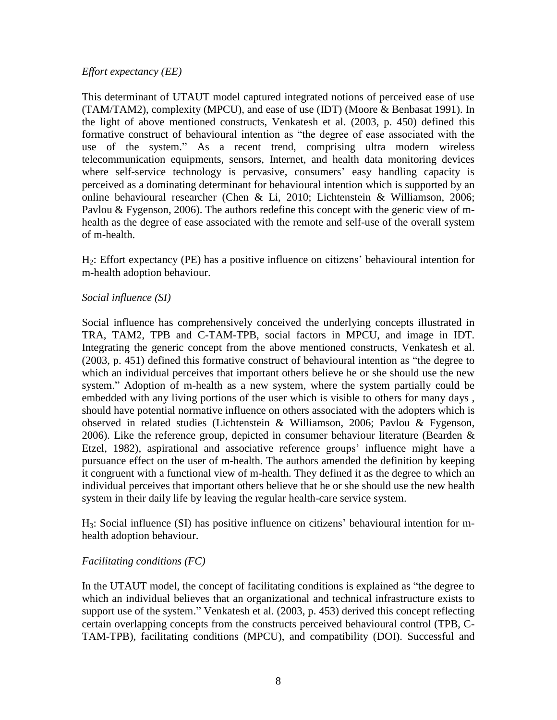#### *Effort expectancy (EE)*

This determinant of UTAUT model captured integrated notions of perceived ease of use (TAM/TAM2), complexity (MPCU), and ease of use (IDT) (Moore & Benbasat 1991). In the light of above mentioned constructs, Venkatesh et al. (2003, p. 450) defined this formative construct of behavioural intention as "the degree of ease associated with the use of the system." As a recent trend, comprising ultra modern wireless telecommunication equipments, sensors, Internet, and health data monitoring devices where self-service technology is pervasive, consumers' easy handling capacity is perceived as a dominating determinant for behavioural intention which is supported by an online behavioural researcher (Chen & Li, 2010; Lichtenstein & Williamson, 2006; Pavlou & Fygenson, 2006). The authors redefine this concept with the generic view of mhealth as the degree of ease associated with the remote and self-use of the overall system of m-health.

H2: Effort expectancy (PE) has a positive influence on citizens' behavioural intention for m-health adoption behaviour.

#### *Social influence (SI)*

Social influence has comprehensively conceived the underlying concepts illustrated in TRA, TAM2, TPB and C-TAM-TPB, social factors in MPCU, and image in IDT. Integrating the generic concept from the above mentioned constructs, Venkatesh et al. (2003, p. 451) defined this formative construct of behavioural intention as "the degree to which an individual perceives that important others believe he or she should use the new system." Adoption of m-health as a new system, where the system partially could be embedded with any living portions of the user which is visible to others for many days , should have potential normative influence on others associated with the adopters which is observed in related studies (Lichtenstein & Williamson, 2006; Pavlou & Fygenson, 2006). Like the reference group, depicted in consumer behaviour literature (Bearden & Etzel, 1982), aspirational and associative reference groups' influence might have a pursuance effect on the user of m-health. The authors amended the definition by keeping it congruent with a functional view of m-health. They defined it as the degree to which an individual perceives that important others believe that he or she should use the new health system in their daily life by leaving the regular health-care service system.

H3: Social influence (SI) has positive influence on citizens' behavioural intention for mhealth adoption behaviour.

#### *Facilitating conditions (FC)*

In the UTAUT model, the concept of facilitating conditions is explained as "the degree to which an individual believes that an organizational and technical infrastructure exists to support use of the system." Venkatesh et al. (2003, p. 453) derived this concept reflecting certain overlapping concepts from the constructs perceived behavioural control (TPB, C-TAM-TPB), facilitating conditions (MPCU), and compatibility (DOI). Successful and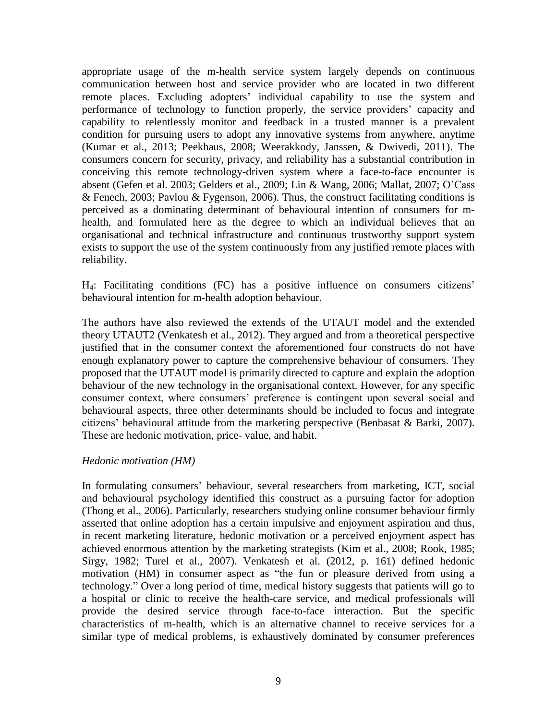appropriate usage of the m-health service system largely depends on continuous communication between host and service provider who are located in two different remote places. Excluding adopters' individual capability to use the system and performance of technology to function properly, the service providers' capacity and capability to relentlessly monitor and feedback in a trusted manner is a prevalent condition for pursuing users to adopt any innovative systems from anywhere, anytime (Kumar et al., 2013; Peekhaus, 2008; Weerakkody, Janssen, & Dwivedi, 2011). The consumers concern for security, privacy, and reliability has a substantial contribution in conceiving this remote technology-driven system where a face-to-face encounter is absent (Gefen et al. 2003; Gelders et al., 2009; Lin & Wang, 2006; Mallat, 2007; O'Cass & Fenech, 2003; Pavlou & Fygenson, 2006). Thus, the construct facilitating conditions is perceived as a dominating determinant of behavioural intention of consumers for mhealth, and formulated here as the degree to which an individual believes that an organisational and technical infrastructure and continuous trustworthy support system exists to support the use of the system continuously from any justified remote places with reliability.

H4: Facilitating conditions (FC) has a positive influence on consumers citizens' behavioural intention for m-health adoption behaviour.

The authors have also reviewed the extends of the UTAUT model and the extended theory UTAUT2 (Venkatesh et al., 2012). They argued and from a theoretical perspective justified that in the consumer context the aforementioned four constructs do not have enough explanatory power to capture the comprehensive behaviour of consumers. They proposed that the UTAUT model is primarily directed to capture and explain the adoption behaviour of the new technology in the organisational context. However, for any specific consumer context, where consumers' preference is contingent upon several social and behavioural aspects, three other determinants should be included to focus and integrate citizens' behavioural attitude from the marketing perspective (Benbasat & Barki, 2007). These are hedonic motivation, price- value, and habit.

#### *Hedonic motivation (HM)*

In formulating consumers' behaviour, several researchers from marketing, ICT, social and behavioural psychology identified this construct as a pursuing factor for adoption (Thong et al., 2006). Particularly, researchers studying online consumer behaviour firmly asserted that online adoption has a certain impulsive and enjoyment aspiration and thus, in recent marketing literature, hedonic motivation or a perceived enjoyment aspect has achieved enormous attention by the marketing strategists (Kim et al., 2008; Rook, 1985; Sirgy, 1982; Turel et al., 2007). Venkatesh et al. (2012, p. 161) defined hedonic motivation (HM) in consumer aspect as "the fun or pleasure derived from using a technology." Over a long period of time, medical history suggests that patients will go to a hospital or clinic to receive the health-care service, and medical professionals will provide the desired service through face-to-face interaction. But the specific characteristics of m-health, which is an alternative channel to receive services for a similar type of medical problems, is exhaustively dominated by consumer preferences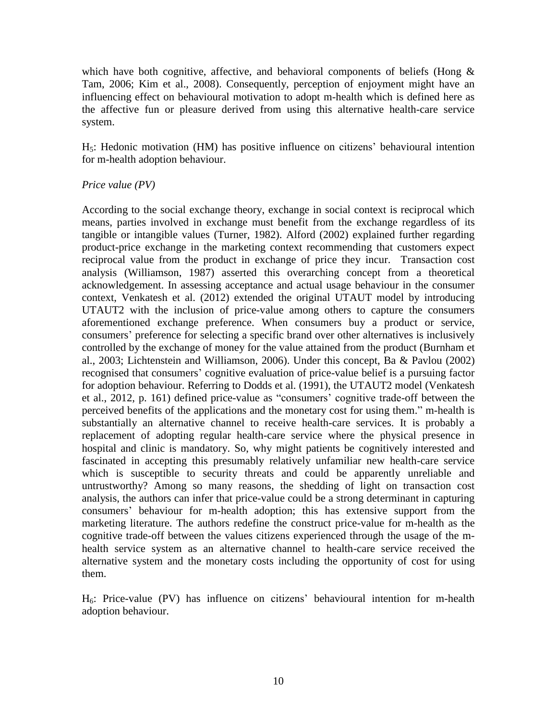which have both cognitive, affective, and behavioral components of beliefs (Hong  $\&$ Tam, 2006; Kim et al., 2008). Consequently, perception of enjoyment might have an influencing effect on behavioural motivation to adopt m-health which is defined here as the affective fun or pleasure derived from using this alternative health-care service system.

H5: Hedonic motivation (HM) has positive influence on citizens' behavioural intention for m-health adoption behaviour.

#### *Price value (PV)*

According to the social exchange theory, exchange in social context is reciprocal which means, parties involved in exchange must benefit from the exchange regardless of its tangible or intangible values (Turner, 1982). Alford (2002) explained further regarding product-price exchange in the marketing context recommending that customers expect reciprocal value from the product in exchange of price they incur. Transaction cost analysis (Williamson, 1987) asserted this overarching concept from a theoretical acknowledgement. In assessing acceptance and actual usage behaviour in the consumer context, Venkatesh et al. (2012) extended the original UTAUT model by introducing UTAUT2 with the inclusion of price-value among others to capture the consumers aforementioned exchange preference. When consumers buy a product or service, consumers' preference for selecting a specific brand over other alternatives is inclusively controlled by the exchange of money for the value attained from the product (Burnham et al., 2003; Lichtenstein and Williamson, 2006). Under this concept, Ba & Pavlou (2002) recognised that consumers' cognitive evaluation of price-value belief is a pursuing factor for adoption behaviour. Referring to Dodds et al. (1991), the UTAUT2 model (Venkatesh et al., 2012, p. 161) defined price-value as "consumers' cognitive trade-off between the perceived benefits of the applications and the monetary cost for using them." m-health is substantially an alternative channel to receive health-care services. It is probably a replacement of adopting regular health-care service where the physical presence in hospital and clinic is mandatory. So, why might patients be cognitively interested and fascinated in accepting this presumably relatively unfamiliar new health-care service which is susceptible to security threats and could be apparently unreliable and untrustworthy? Among so many reasons, the shedding of light on transaction cost analysis, the authors can infer that price-value could be a strong determinant in capturing consumers' behaviour for m-health adoption; this has extensive support from the marketing literature. The authors redefine the construct price-value for m-health as the cognitive trade-off between the values citizens experienced through the usage of the mhealth service system as an alternative channel to health-care service received the alternative system and the monetary costs including the opportunity of cost for using them.

H6: Price-value (PV) has influence on citizens' behavioural intention for m-health adoption behaviour.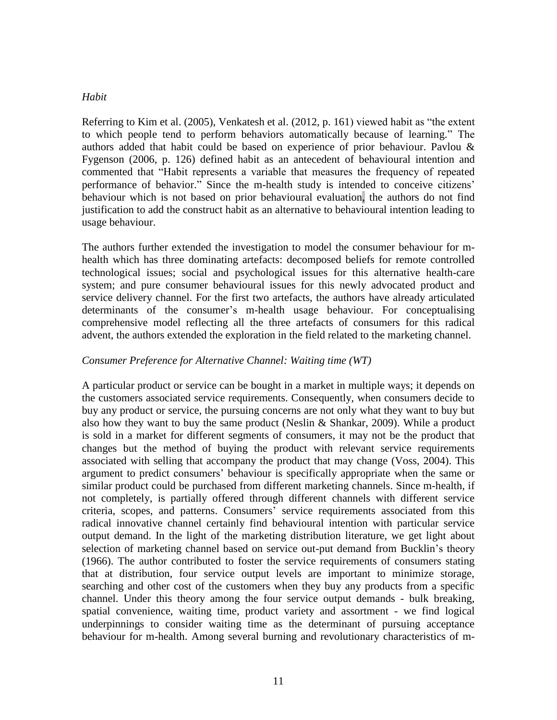#### *Habit*

Referring to Kim et al. (2005), Venkatesh et al. (2012, p. 161) viewed habit as "the extent to which people tend to perform behaviors automatically because of learning." The authors added that habit could be based on experience of prior behaviour. Pavlou & Fygenson (2006, p. 126) defined habit as an antecedent of behavioural intention and commented that "Habit represents a variable that measures the frequency of repeated performance of behavior." Since the m-health study is intended to conceive citizens' behaviour which is not based on prior behavioural evaluation, the authors do not find justification to add the construct habit as an alternative to behavioural intention leading to usage behaviour.

The authors further extended the investigation to model the consumer behaviour for mhealth which has three dominating artefacts: decomposed beliefs for remote controlled technological issues; social and psychological issues for this alternative health-care system; and pure consumer behavioural issues for this newly advocated product and service delivery channel. For the first two artefacts, the authors have already articulated determinants of the consumer's m-health usage behaviour. For conceptualising comprehensive model reflecting all the three artefacts of consumers for this radical advent, the authors extended the exploration in the field related to the marketing channel.

#### *Consumer Preference for Alternative Channel: Waiting time (WT)*

A particular product or service can be bought in a market in multiple ways; it depends on the customers associated service requirements. Consequently, when consumers decide to buy any product or service, the pursuing concerns are not only what they want to buy but also how they want to buy the same product (Neslin & Shankar, 2009). While a product is sold in a market for different segments of consumers, it may not be the product that changes but the method of buying the product with relevant service requirements associated with selling that accompany the product that may change (Voss, 2004). This argument to predict consumers' behaviour is specifically appropriate when the same or similar product could be purchased from different marketing channels. Since m-health, if not completely, is partially offered through different channels with different service criteria, scopes, and patterns. Consumers' service requirements associated from this radical innovative channel certainly find behavioural intention with particular service output demand. In the light of the marketing distribution literature, we get light about selection of marketing channel based on service out-put demand from Bucklin's theory (1966). The author contributed to foster the service requirements of consumers stating that at distribution, four service output levels are important to minimize storage, searching and other cost of the customers when they buy any products from a specific channel. Under this theory among the four service output demands - bulk breaking, spatial convenience, waiting time, product variety and assortment - we find logical underpinnings to consider waiting time as the determinant of pursuing acceptance behaviour for m-health. Among several burning and revolutionary characteristics of m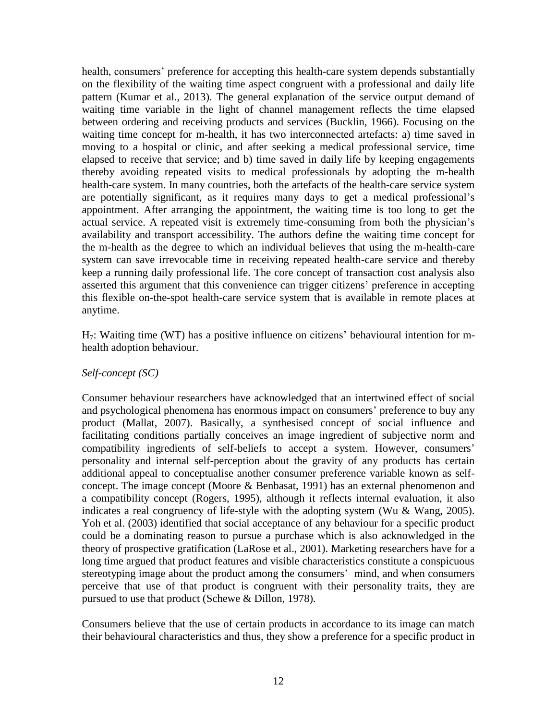health, consumers' preference for accepting this health-care system depends substantially on the flexibility of the waiting time aspect congruent with a professional and daily life pattern (Kumar et al., 2013). The general explanation of the service output demand of waiting time variable in the light of channel management reflects the time elapsed between ordering and receiving products and services (Bucklin, 1966). Focusing on the waiting time concept for m-health, it has two interconnected artefacts: a) time saved in moving to a hospital or clinic, and after seeking a medical professional service, time elapsed to receive that service; and b) time saved in daily life by keeping engagements thereby avoiding repeated visits to medical professionals by adopting the m-health health-care system. In many countries, both the artefacts of the health-care service system are potentially significant, as it requires many days to get a medical professional's appointment. After arranging the appointment, the waiting time is too long to get the actual service. A repeated visit is extremely time-consuming from both the physician's availability and transport accessibility. The authors define the waiting time concept for the m-health as the degree to which an individual believes that using the m-health-care system can save irrevocable time in receiving repeated health-care service and thereby keep a running daily professional life. The core concept of transaction cost analysis also asserted this argument that this convenience can trigger citizens' preference in accepting this flexible on-the-spot health-care service system that is available in remote places at anytime.

H7: Waiting time (WT) has a positive influence on citizens' behavioural intention for mhealth adoption behaviour.

#### *Self-concept (SC)*

Consumer behaviour researchers have acknowledged that an intertwined effect of social and psychological phenomena has enormous impact on consumers' preference to buy any product (Mallat, 2007). Basically, a synthesised concept of social influence and facilitating conditions partially conceives an image ingredient of subjective norm and compatibility ingredients of self-beliefs to accept a system. However, consumers' personality and internal self-perception about the gravity of any products has certain additional appeal to conceptualise another consumer preference variable known as selfconcept. The image concept (Moore & Benbasat, 1991) has an external phenomenon and a compatibility concept (Rogers, 1995), although it reflects internal evaluation, it also indicates a real congruency of life-style with the adopting system (Wu & Wang, 2005). Yoh et al. (2003) identified that social acceptance of any behaviour for a specific product could be a dominating reason to pursue a purchase which is also acknowledged in the theory of prospective gratification (LaRose et al., 2001). Marketing researchers have for a long time argued that product features and visible characteristics constitute a conspicuous stereotyping image about the product among the consumers' mind, and when consumers perceive that use of that product is congruent with their personality traits, they are pursued to use that product (Schewe & Dillon, 1978).

Consumers believe that the use of certain products in accordance to its image can match their behavioural characteristics and thus, they show a preference for a specific product in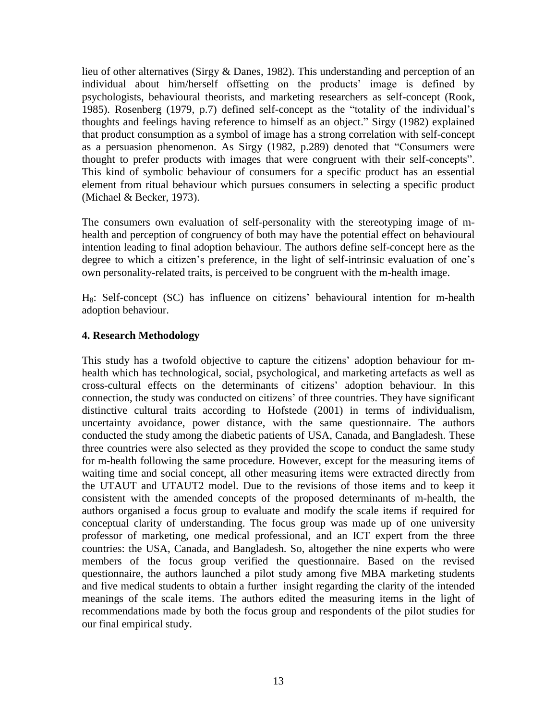lieu of other alternatives (Sirgy & Danes, 1982). This understanding and perception of an individual about him/herself offsetting on the products' image is defined by psychologists, behavioural theorists, and marketing researchers as self-concept (Rook, 1985). Rosenberg (1979, p.7) defined self-concept as the "totality of the individual's thoughts and feelings having reference to himself as an object." Sirgy (1982) explained that product consumption as a symbol of image has a strong correlation with self-concept as a persuasion phenomenon. As Sirgy (1982, p.289) denoted that "Consumers were thought to prefer products with images that were congruent with their self-concepts". This kind of symbolic behaviour of consumers for a specific product has an essential element from ritual behaviour which pursues consumers in selecting a specific product (Michael & Becker, 1973).

The consumers own evaluation of self-personality with the stereotyping image of mhealth and perception of congruency of both may have the potential effect on behavioural intention leading to final adoption behaviour. The authors define self-concept here as the degree to which a citizen's preference, in the light of self-intrinsic evaluation of one's own personality-related traits, is perceived to be congruent with the m-health image.

H8: Self-concept (SC) has influence on citizens' behavioural intention for m-health adoption behaviour.

#### **4. Research Methodology**

This study has a twofold objective to capture the citizens' adoption behaviour for mhealth which has technological, social, psychological, and marketing artefacts as well as cross-cultural effects on the determinants of citizens' adoption behaviour. In this connection, the study was conducted on citizens' of three countries. They have significant distinctive cultural traits according to Hofstede (2001) in terms of individualism, uncertainty avoidance, power distance, with the same questionnaire. The authors conducted the study among the diabetic patients of USA, Canada, and Bangladesh. These three countries were also selected as they provided the scope to conduct the same study for m-health following the same procedure. However, except for the measuring items of waiting time and social concept, all other measuring items were extracted directly from the UTAUT and UTAUT2 model. Due to the revisions of those items and to keep it consistent with the amended concepts of the proposed determinants of m-health, the authors organised a focus group to evaluate and modify the scale items if required for conceptual clarity of understanding. The focus group was made up of one university professor of marketing, one medical professional, and an ICT expert from the three countries: the USA, Canada, and Bangladesh. So, altogether the nine experts who were members of the focus group verified the questionnaire. Based on the revised questionnaire, the authors launched a pilot study among five MBA marketing students and five medical students to obtain a further insight regarding the clarity of the intended meanings of the scale items. The authors edited the measuring items in the light of recommendations made by both the focus group and respondents of the pilot studies for our final empirical study.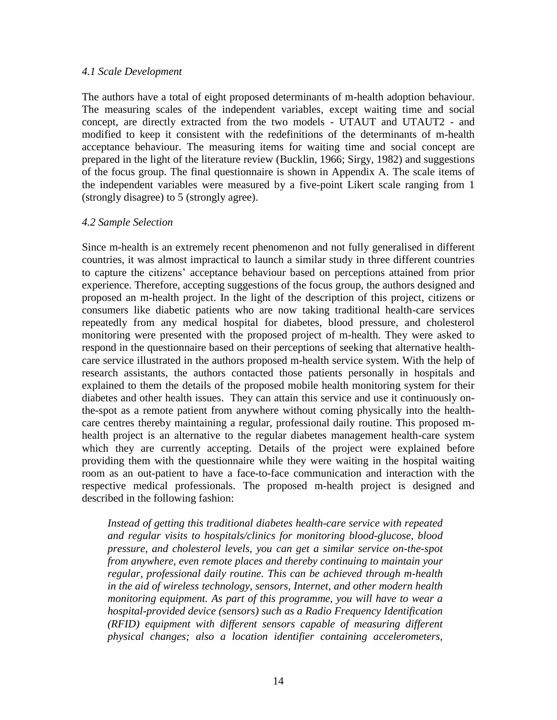#### *4.1 Scale Development*

The authors have a total of eight proposed determinants of m-health adoption behaviour. The measuring scales of the independent variables, except waiting time and social concept, are directly extracted from the two models - UTAUT and UTAUT2 - and modified to keep it consistent with the redefinitions of the determinants of m-health acceptance behaviour. The measuring items for waiting time and social concept are prepared in the light of the literature review (Bucklin, 1966; Sirgy, 1982) and suggestions of the focus group. The final questionnaire is shown in Appendix A. The scale items of the independent variables were measured by a five-point Likert scale ranging from 1 (strongly disagree) to 5 (strongly agree).

#### *4.2 Sample Selection*

Since m-health is an extremely recent phenomenon and not fully generalised in different countries, it was almost impractical to launch a similar study in three different countries to capture the citizens' acceptance behaviour based on perceptions attained from prior experience. Therefore, accepting suggestions of the focus group, the authors designed and proposed an m-health project. In the light of the description of this project, citizens or consumers like diabetic patients who are now taking traditional health-care services repeatedly from any medical hospital for diabetes, blood pressure, and cholesterol monitoring were presented with the proposed project of m-health. They were asked to respond in the questionnaire based on their perceptions of seeking that alternative healthcare service illustrated in the authors proposed m-health service system. With the help of research assistants, the authors contacted those patients personally in hospitals and explained to them the details of the proposed mobile health monitoring system for their diabetes and other health issues. They can attain this service and use it continuously onthe-spot as a remote patient from anywhere without coming physically into the healthcare centres thereby maintaining a regular, professional daily routine. This proposed mhealth project is an alternative to the regular diabetes management health-care system which they are currently accepting. Details of the project were explained before providing them with the questionnaire while they were waiting in the hospital waiting room as an out-patient to have a face-to-face communication and interaction with the respective medical professionals. The proposed m-health project is designed and described in the following fashion:

*Instead of getting this traditional diabetes health-care service with repeated and regular visits to hospitals/clinics for monitoring blood-glucose, blood pressure, and cholesterol levels, you can get a similar service on-the-spot from anywhere, even remote places and thereby continuing to maintain your regular, professional daily routine. This can be achieved through m-health in the aid of wireless technology, sensors, Internet, and other modern health monitoring equipment. As part of this programme, you will have to wear a hospital-provided device (sensors) such as a Radio Frequency Identification (RFID) equipment with different sensors capable of measuring different physical changes; also a location identifier containing accelerometers,*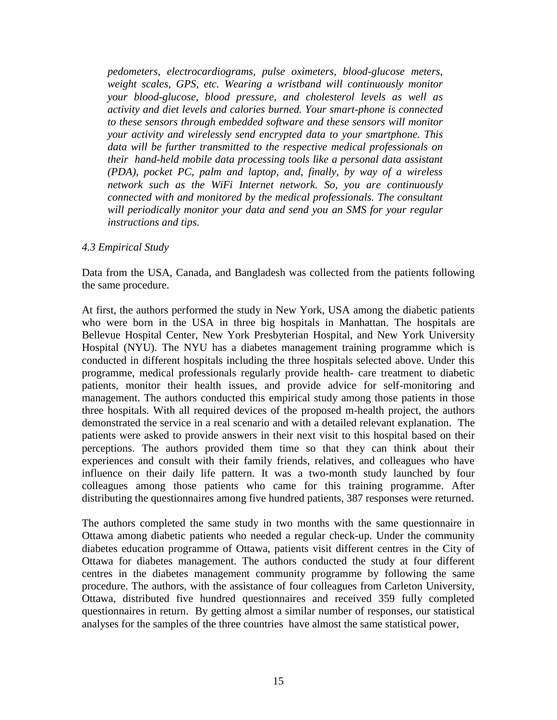*pedometers, electrocardiograms, pulse oximeters, blood-glucose meters, weight scales, GPS, etc. Wearing a wristband will continuously monitor your blood-glucose, blood pressure, and cholesterol levels as well as activity and diet levels and calories burned. Your smart-phone is connected to these sensors through embedded software and these sensors will monitor your activity and wirelessly send encrypted data to your smartphone. This data will be further transmitted to the respective medical professionals on their hand-held mobile data processing tools like a personal data assistant (PDA), pocket PC, palm and laptop, and, finally, by way of a wireless network such as the WiFi Internet network. So, you are continuously connected with and monitored by the medical professionals. The consultant will periodically monitor your data and send you an SMS for your regular instructions and tips.*

#### *4.3 Empirical Study*

Data from the USA, Canada, and Bangladesh was collected from the patients following the same procedure.

At first, the authors performed the study in New York, USA among the diabetic patients who were born in the USA in three big hospitals in Manhattan. The hospitals are Bellevue Hospital Center, New York Presbyterian Hospital, and New York University Hospital (NYU). The NYU has a diabetes management training programme which is conducted in different hospitals including the three hospitals selected above. Under this programme, medical professionals regularly provide health- care treatment to diabetic patients, monitor their health issues, and provide advice for self-monitoring and management. The authors conducted this empirical study among those patients in those three hospitals. With all required devices of the proposed m-health project, the authors demonstrated the service in a real scenario and with a detailed relevant explanation. The patients were asked to provide answers in their next visit to this hospital based on their perceptions. The authors provided them time so that they can think about their experiences and consult with their family friends, relatives, and colleagues who have influence on their daily life pattern. It was a two-month study launched by four colleagues among those patients who came for this training programme. After distributing the questionnaires among five hundred patients, 387 responses were returned.

The authors completed the same study in two months with the same questionnaire in Ottawa among diabetic patients who needed a regular check-up. Under the community diabetes education programme of Ottawa, patients visit different centres in the City of Ottawa for diabetes management. The authors conducted the study at four different centres in the diabetes management community programme by following the same procedure. The authors, with the assistance of four colleagues from Carleton University, Ottawa, distributed five hundred questionnaires and received 359 fully completed questionnaires in return. By getting almost a similar number of responses, our statistical analyses for the samples of the three countries have almost the same statistical power,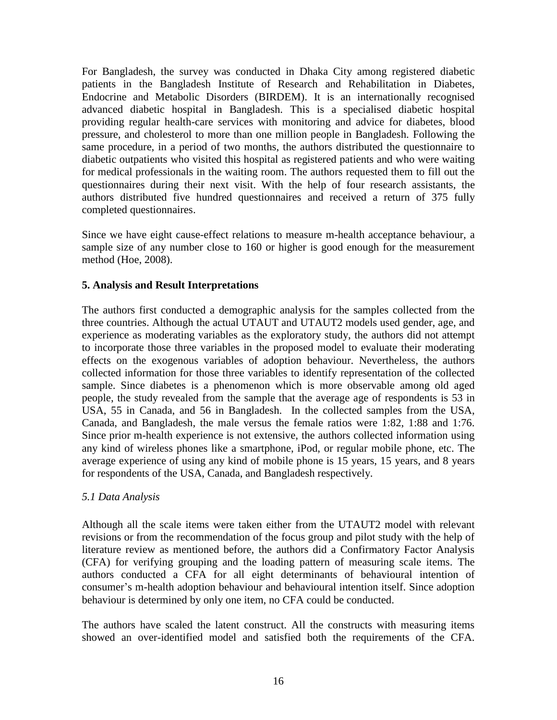For Bangladesh, the survey was conducted in Dhaka City among registered diabetic patients in the Bangladesh Institute of Research and Rehabilitation in Diabetes, Endocrine and Metabolic Disorders (BIRDEM). It is an internationally recognised advanced diabetic hospital in Bangladesh. This is a specialised diabetic hospital providing regular health-care services with monitoring and advice for diabetes, blood pressure, and cholesterol to more than one million people in Bangladesh. Following the same procedure, in a period of two months, the authors distributed the questionnaire to diabetic outpatients who visited this hospital as registered patients and who were waiting for medical professionals in the waiting room. The authors requested them to fill out the questionnaires during their next visit. With the help of four research assistants, the authors distributed five hundred questionnaires and received a return of 375 fully completed questionnaires.

Since we have eight cause-effect relations to measure m-health acceptance behaviour, a sample size of any number close to 160 or higher is good enough for the measurement method (Hoe, 2008).

#### **5. Analysis and Result Interpretations**

The authors first conducted a demographic analysis for the samples collected from the three countries. Although the actual UTAUT and UTAUT2 models used gender, age, and experience as moderating variables as the exploratory study, the authors did not attempt to incorporate those three variables in the proposed model to evaluate their moderating effects on the exogenous variables of adoption behaviour. Nevertheless, the authors collected information for those three variables to identify representation of the collected sample. Since diabetes is a phenomenon which is more observable among old aged people, the study revealed from the sample that the average age of respondents is 53 in USA, 55 in Canada, and 56 in Bangladesh. In the collected samples from the USA, Canada, and Bangladesh, the male versus the female ratios were 1:82, 1:88 and 1:76. Since prior m-health experience is not extensive, the authors collected information using any kind of wireless phones like a smartphone, iPod, or regular mobile phone, etc. The average experience of using any kind of mobile phone is 15 years, 15 years, and 8 years for respondents of the USA, Canada, and Bangladesh respectively.

#### *5.1 Data Analysis*

Although all the scale items were taken either from the UTAUT2 model with relevant revisions or from the recommendation of the focus group and pilot study with the help of literature review as mentioned before, the authors did a Confirmatory Factor Analysis (CFA) for verifying grouping and the loading pattern of measuring scale items. The authors conducted a CFA for all eight determinants of behavioural intention of consumer's m-health adoption behaviour and behavioural intention itself. Since adoption behaviour is determined by only one item, no CFA could be conducted.

The authors have scaled the latent construct. All the constructs with measuring items showed an over-identified model and satisfied both the requirements of the CFA.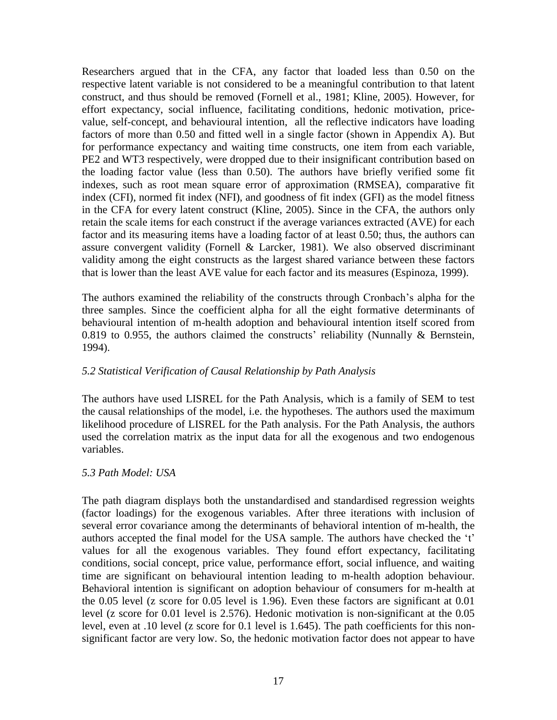Researchers argued that in the CFA, any factor that loaded less than 0.50 on the respective latent variable is not considered to be a meaningful contribution to that latent construct, and thus should be removed (Fornell et al., 1981; Kline, 2005). However, for effort expectancy, social influence, facilitating conditions, hedonic motivation, pricevalue, self-concept, and behavioural intention, all the reflective indicators have loading factors of more than 0.50 and fitted well in a single factor (shown in Appendix A). But for performance expectancy and waiting time constructs, one item from each variable, PE2 and WT3 respectively, were dropped due to their insignificant contribution based on the loading factor value (less than 0.50). The authors have briefly verified some fit indexes, such as root mean square error of approximation (RMSEA), comparative fit index (CFI), normed fit index (NFI), and goodness of fit index (GFI) as the model fitness in the CFA for every latent construct (Kline, 2005). Since in the CFA, the authors only retain the scale items for each construct if the average variances extracted (AVE) for each factor and its measuring items have a loading factor of at least 0.50; thus, the authors can assure convergent validity (Fornell & Larcker, 1981). We also observed discriminant validity among the eight constructs as the largest shared variance between these factors that is lower than the least AVE value for each factor and its measures (Espinoza, 1999).

The authors examined the reliability of the constructs through Cronbach's alpha for the three samples. Since the coefficient alpha for all the eight formative determinants of behavioural intention of m-health adoption and behavioural intention itself scored from  $0.819$  to  $0.955$ , the authors claimed the constructs' reliability (Nunnally & Bernstein, 1994).

#### *5.2 Statistical Verification of Causal Relationship by Path Analysis*

The authors have used LISREL for the Path Analysis, which is a family of SEM to test the causal relationships of the model, i.e. the hypotheses. The authors used the maximum likelihood procedure of LISREL for the Path analysis. For the Path Analysis, the authors used the correlation matrix as the input data for all the exogenous and two endogenous variables.

#### *5.3 Path Model: USA*

The path diagram displays both the unstandardised and standardised regression weights (factor loadings) for the exogenous variables. After three iterations with inclusion of several error covariance among the determinants of behavioral intention of m-health, the authors accepted the final model for the USA sample. The authors have checked the 't' values for all the exogenous variables. They found effort expectancy, facilitating conditions, social concept, price value, performance effort, social influence, and waiting time are significant on behavioural intention leading to m-health adoption behaviour. Behavioral intention is significant on adoption behaviour of consumers for m-health at the 0.05 level (z score for 0.05 level is 1.96). Even these factors are significant at 0.01 level (z score for 0.01 level is 2.576). Hedonic motivation is non-significant at the 0.05 level, even at .10 level (z score for 0.1 level is 1.645). The path coefficients for this nonsignificant factor are very low. So, the hedonic motivation factor does not appear to have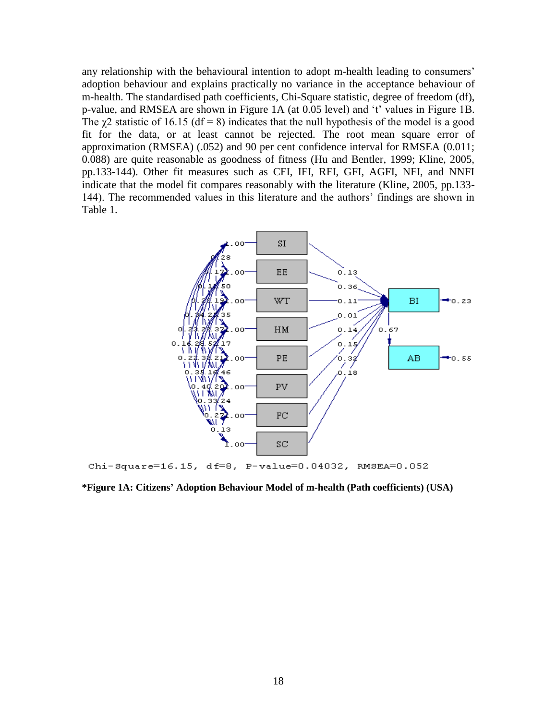any relationship with the behavioural intention to adopt m-health leading to consumers' adoption behaviour and explains practically no variance in the acceptance behaviour of m-health. The standardised path coefficients, Chi-Square statistic, degree of freedom (df), p-value, and RMSEA are shown in Figure 1A (at 0.05 level) and 't' values in Figure 1B. The  $\gamma$ 2 statistic of 16.15 (df = 8) indicates that the null hypothesis of the model is a good fit for the data, or at least cannot be rejected. The root mean square error of approximation (RMSEA) (.052) and 90 per cent confidence interval for RMSEA (0.011; 0.088) are quite reasonable as goodness of fitness (Hu and Bentler, 1999; Kline, 2005, pp.133-144). Other fit measures such as CFI, IFI, RFI, GFI, AGFI, NFI, and NNFI indicate that the model fit compares reasonably with the literature (Kline, 2005, pp.133- 144). The recommended values in this literature and the authors' findings are shown in Table 1.



Chi-Square=16.15, df=8, P-value=0.04032, RMSEA=0.052

**\*Figure 1A: Citizens' Adoption Behaviour Model of m-health (Path coefficients) (USA)**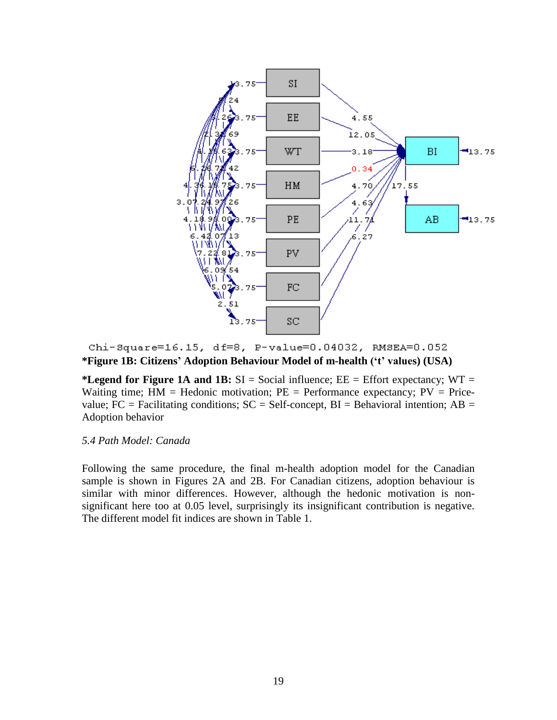

Chi-Square=16.15, df=8, P-value=0.04032, RMSEA=0.052 **\*Figure 1B: Citizens' Adoption Behaviour Model of m-health ('t' values) (USA)**

**\*Legend for Figure 1A and 1B:** SI = Social influence; EE = Effort expectancy; WT = Waiting time;  $HM = Hedonic motivation$ ;  $PE = Performance$  expectancy;  $PV = Price$ value;  $FC = Facilitating conditions; SC = Self-concept, BI = Behavioral intention; AB =$ Adoption behavior

#### *5.4 Path Model: Canada*

Following the same procedure, the final m-health adoption model for the Canadian sample is shown in Figures 2A and 2B. For Canadian citizens, adoption behaviour is similar with minor differences. However, although the hedonic motivation is nonsignificant here too at 0.05 level, surprisingly its insignificant contribution is negative. The different model fit indices are shown in Table 1.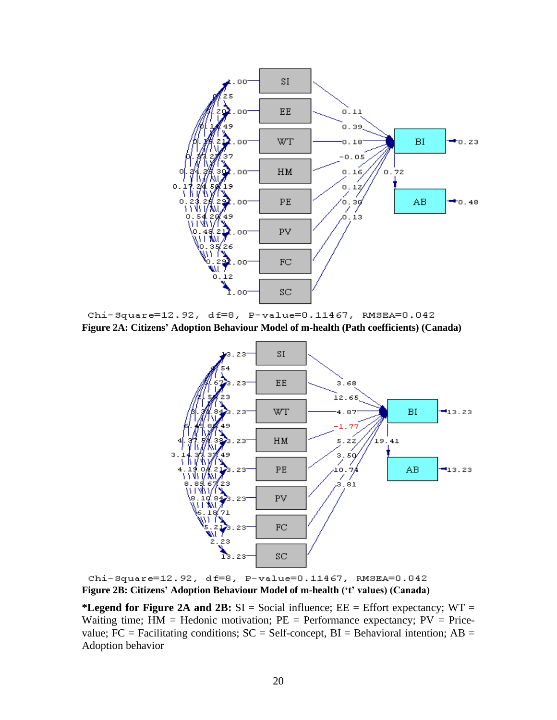

Chi-Square=12.92, df=8, P-value=0.11467, RMSEA=0.042 **Figure 2A: Citizens' Adoption Behaviour Model of m-health (Path coefficients) (Canada)**



Chi-Square=12.92, df=8, P-value=0.11467, RMSEA=0.042 **Figure 2B: Citizens' Adoption Behaviour Model of m-health ('t' values) (Canada)**

**\*Legend for Figure 2A and 2B:** SI = Social influence; EE = Effort expectancy; WT = Waiting time;  $HM = Hedonic motivation$ ;  $PE = Performance$  expectancy;  $PV = Price$ value; FC = Facilitating conditions;  $SC = Self-concept$ ,  $BI = Behavioral$  intention;  $AB =$ Adoption behavior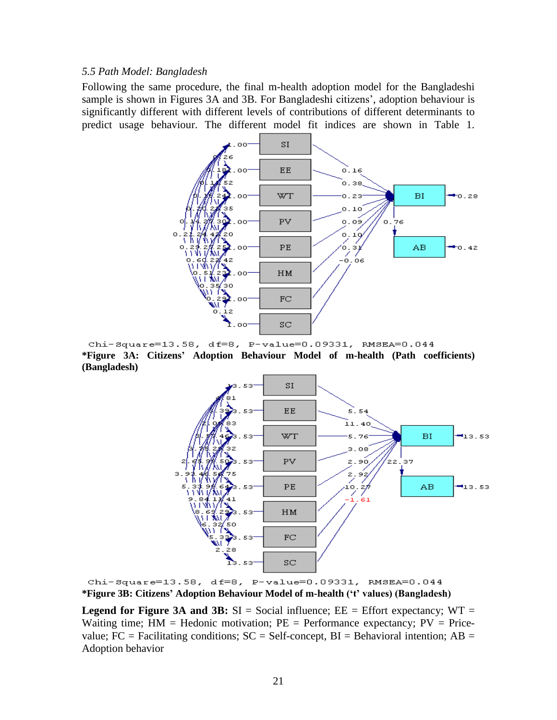#### *5.5 Path Model: Bangladesh*

Following the same procedure, the final m-health adoption model for the Bangladeshi sample is shown in Figures 3A and 3B. For Bangladeshi citizens', adoption behaviour is significantly different with different levels of contributions of different determinants to predict usage behaviour. The different model fit indices are shown in Table 1.



Chi-Square=13.58, df=8, P-value=0.09331, RMSEA=0.044 **\*Figure 3A: Citizens' Adoption Behaviour Model of m-health (Path coefficients) (Bangladesh)**



Chi-Square=13.58, df=8, P-value=0.09331, RMSEA=0.044 **\*Figure 3B: Citizens' Adoption Behaviour Model of m-health ('t' values) (Bangladesh)**

**Legend** for Figure 3A and 3B:  $SI = Social influence$ ;  $EE = Effect$  expectancy;  $WT =$ Waiting time;  $HM = Hedonic motivation$ ;  $PE = Performance$  expectancy;  $PV = Price$ value;  $FC = Facilitating conditions$ ;  $SC = Self-concept$ ,  $BI = Behavioral intention$ ;  $AB =$ Adoption behavior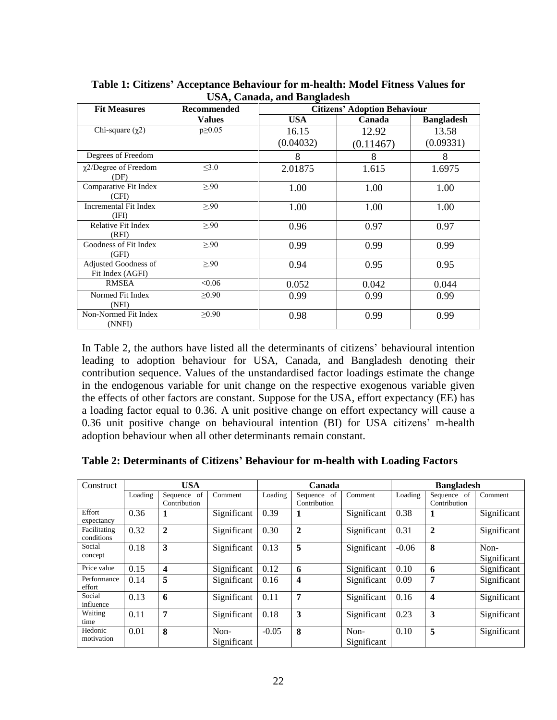| <b>Fit Measures</b>                      | <b>Recommended</b> |            | <b>Citizens' Adoption Behaviour</b> |                   |  |  |
|------------------------------------------|--------------------|------------|-------------------------------------|-------------------|--|--|
|                                          | <b>Values</b>      | <b>USA</b> | Canada                              | <b>Bangladesh</b> |  |  |
| Chi-square $(\chi^2)$                    | $p \geq 0.05$      | 16.15      | 12.92                               | 13.58             |  |  |
|                                          |                    | (0.04032)  | (0.11467)                           | (0.09331)         |  |  |
| Degrees of Freedom                       |                    | 8          | 8                                   | 8                 |  |  |
| $\chi$ 2/Degree of Freedom<br>(DF)       | $\leq 3.0$         | 2.01875    | 1.615                               | 1.6975            |  |  |
| Comparative Fit Index<br>(CFI)           | $\geq 90$          | 1.00       | 1.00                                | 1.00              |  |  |
| Incremental Fit Index<br>(IFI)           | $\geq 90$          | 1.00       | 1.00                                | 1.00              |  |  |
| <b>Relative Fit Index</b><br>(RFI)       | $\geq 90$          | 0.96       | 0.97                                | 0.97              |  |  |
| Goodness of Fit Index<br>(GFI)           | $\geq 90$          | 0.99       | 0.99                                | 0.99              |  |  |
| Adjusted Goodness of<br>Fit Index (AGFI) | $\geq 90$          | 0.94       | 0.95                                | 0.95              |  |  |
| <b>RMSEA</b>                             | < 0.06             | 0.052      | 0.042                               | 0.044             |  |  |
| Normed Fit Index<br>(NFI)                | $\geq 0.90$        | 0.99       | 0.99                                | 0.99              |  |  |
| Non-Normed Fit Index<br>(NNFI)           | $\geq 0.90$        | 0.98       | 0.99                                | 0.99              |  |  |

**Table 1: Citizens' Acceptance Behaviour for m-health: Model Fitness Values for USA, Canada, and Bangladesh**

In Table 2, the authors have listed all the determinants of citizens' behavioural intention leading to adoption behaviour for USA, Canada, and Bangladesh denoting their contribution sequence. Values of the unstandardised factor loadings estimate the change in the endogenous variable for unit change on the respective exogenous variable given the effects of other factors are constant. Suppose for the USA, effort expectancy (EE) has a loading factor equal to 0.36. A unit positive change on effort expectancy will cause a 0.36 unit positive change on behavioural intention (BI) for USA citizens' m-health adoption behaviour when all other determinants remain constant.

|  |  | Table 2: Determinants of Citizens' Behaviour for m-health with Loading Factors |  |  |
|--|--|--------------------------------------------------------------------------------|--|--|
|  |  |                                                                                |  |  |

| Construct                  | <b>USA</b> |                |             | Canada  |                |             | <b>Bangladesh</b> |                |             |
|----------------------------|------------|----------------|-------------|---------|----------------|-------------|-------------------|----------------|-------------|
|                            | Loading    | Sequence of    | Comment     | Loading | Sequence of    | Comment     | Loading           | Sequence of    | Comment     |
|                            |            | Contribution   |             |         | Contribution   |             |                   | Contribution   |             |
| Effort<br>expectancy       | 0.36       | 1              | Significant | 0.39    |                | Significant | 0.38              | 1              | Significant |
| Facilitating<br>conditions | 0.32       | $\overline{2}$ | Significant | 0.30    | $\overline{2}$ | Significant | 0.31              | $\overline{2}$ | Significant |
| Social                     | 0.18       | 3              | Significant | 0.13    | 5              | Significant | $-0.06$           | 8              | Non-        |
| concept                    |            |                |             |         |                |             |                   |                | Significant |
| Price value                | 0.15       | 4              | Significant | 0.12    | 6              | Significant | 0.10              | 6              | Significant |
| Performance<br>effort      | 0.14       | 5              | Significant | 0.16    | 4              | Significant | 0.09              | 7              | Significant |
| Social<br>influence        | 0.13       | 6              | Significant | 0.11    | 7              | Significant | 0.16              | 4              | Significant |
| Waiting<br>time            | 0.11       | 7              | Significant | 0.18    | 3              | Significant | 0.23              | 3              | Significant |
| Hedonic                    | 0.01       | 8              | Non-        | $-0.05$ | 8              | Non-        | 0.10              | 5              | Significant |
| motivation                 |            |                | Significant |         |                | Significant |                   |                |             |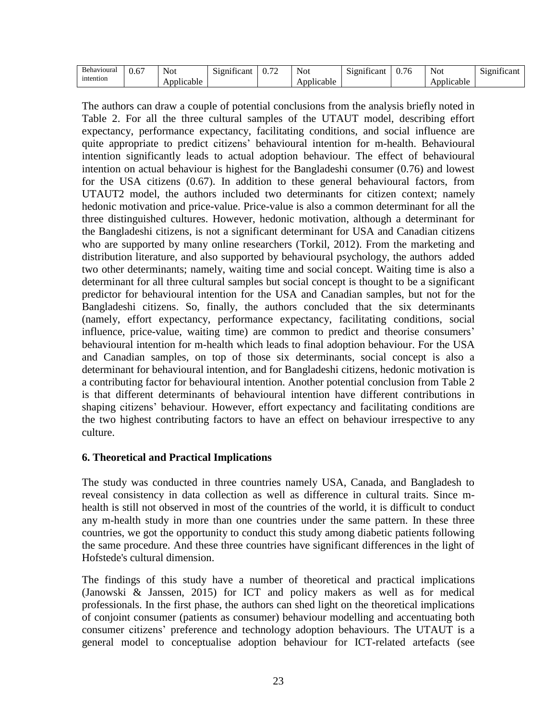| $\sim$<br>havioural | $\sim$<br>U.O. | Not      | $\cdot$ $\sim$<br>$\sim$<br>120111cant | $\overline{\phantom{a}}$ | Not          | $\cdot$<br>$\sim$<br>10T<br>700 m<br>:ant<br>. | $\sim$ | Not      | $\sim$ .<br>. .<br>.<br>.<br>. . v<br>icail |
|---------------------|----------------|----------|----------------------------------------|--------------------------|--------------|------------------------------------------------|--------|----------|---------------------------------------------|
| intention           |                | blicable |                                        |                          | .<br>лісаріе |                                                |        | plicable |                                             |

The authors can draw a couple of potential conclusions from the analysis briefly noted in Table 2. For all the three cultural samples of the UTAUT model, describing effort expectancy, performance expectancy, facilitating conditions, and social influence are quite appropriate to predict citizens' behavioural intention for m-health. Behavioural intention significantly leads to actual adoption behaviour. The effect of behavioural intention on actual behaviour is highest for the Bangladeshi consumer (0.76) and lowest for the USA citizens (0.67). In addition to these general behavioural factors, from UTAUT2 model, the authors included two determinants for citizen context; namely hedonic motivation and price-value. Price-value is also a common determinant for all the three distinguished cultures. However, hedonic motivation, although a determinant for the Bangladeshi citizens, is not a significant determinant for USA and Canadian citizens who are supported by many online researchers (Torkil, 2012). From the marketing and distribution literature, and also supported by behavioural psychology, the authors added two other determinants; namely, waiting time and social concept. Waiting time is also a determinant for all three cultural samples but social concept is thought to be a significant predictor for behavioural intention for the USA and Canadian samples, but not for the Bangladeshi citizens. So, finally, the authors concluded that the six determinants (namely, effort expectancy, performance expectancy, facilitating conditions, social influence, price-value, waiting time) are common to predict and theorise consumers' behavioural intention for m-health which leads to final adoption behaviour. For the USA and Canadian samples, on top of those six determinants, social concept is also a determinant for behavioural intention, and for Bangladeshi citizens, hedonic motivation is a contributing factor for behavioural intention. Another potential conclusion from Table 2 is that different determinants of behavioural intention have different contributions in shaping citizens' behaviour. However, effort expectancy and facilitating conditions are the two highest contributing factors to have an effect on behaviour irrespective to any culture.

#### **6. Theoretical and Practical Implications**

The study was conducted in three countries namely USA, Canada, and Bangladesh to reveal consistency in data collection as well as difference in cultural traits. Since mhealth is still not observed in most of the countries of the world, it is difficult to conduct any m-health study in more than one countries under the same pattern. In these three countries, we got the opportunity to conduct this study among diabetic patients following the same procedure. And these three countries have significant differences in the light of Hofstede's cultural dimension.

The findings of this study have a number of theoretical and practical implications (Janowski & Janssen, 2015) for ICT and policy makers as well as for medical professionals. In the first phase, the authors can shed light on the theoretical implications of conjoint consumer (patients as consumer) behaviour modelling and accentuating both consumer citizens' preference and technology adoption behaviours. The UTAUT is a general model to conceptualise adoption behaviour for ICT-related artefacts (see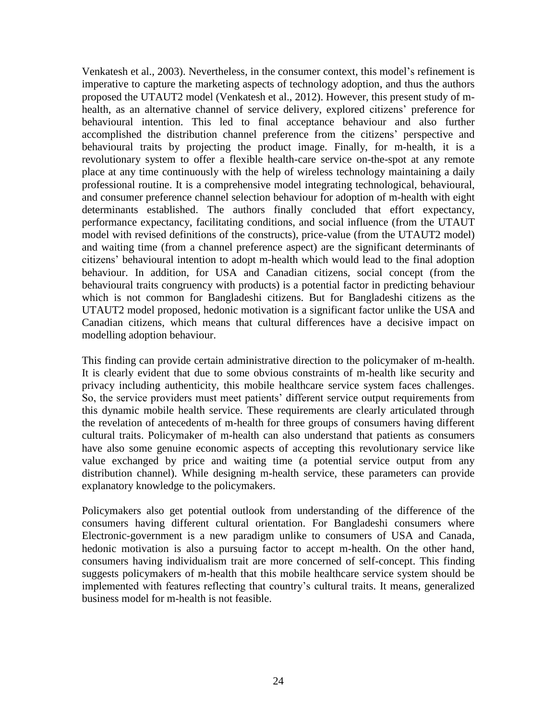Venkatesh et al., 2003). Nevertheless, in the consumer context, this model's refinement is imperative to capture the marketing aspects of technology adoption, and thus the authors proposed the UTAUT2 model (Venkatesh et al., 2012). However, this present study of mhealth, as an alternative channel of service delivery, explored citizens' preference for behavioural intention. This led to final acceptance behaviour and also further accomplished the distribution channel preference from the citizens' perspective and behavioural traits by projecting the product image. Finally, for m-health, it is a revolutionary system to offer a flexible health-care service on-the-spot at any remote place at any time continuously with the help of wireless technology maintaining a daily professional routine. It is a comprehensive model integrating technological, behavioural, and consumer preference channel selection behaviour for adoption of m-health with eight determinants established. The authors finally concluded that effort expectancy, performance expectancy, facilitating conditions, and social influence (from the UTAUT model with revised definitions of the constructs), price-value (from the UTAUT2 model) and waiting time (from a channel preference aspect) are the significant determinants of citizens' behavioural intention to adopt m-health which would lead to the final adoption behaviour. In addition, for USA and Canadian citizens, social concept (from the behavioural traits congruency with products) is a potential factor in predicting behaviour which is not common for Bangladeshi citizens. But for Bangladeshi citizens as the UTAUT2 model proposed, hedonic motivation is a significant factor unlike the USA and Canadian citizens, which means that cultural differences have a decisive impact on modelling adoption behaviour.

This finding can provide certain administrative direction to the policymaker of m-health. It is clearly evident that due to some obvious constraints of m-health like security and privacy including authenticity, this mobile healthcare service system faces challenges. So, the service providers must meet patients' different service output requirements from this dynamic mobile health service. These requirements are clearly articulated through the revelation of antecedents of m-health for three groups of consumers having different cultural traits. Policymaker of m-health can also understand that patients as consumers have also some genuine economic aspects of accepting this revolutionary service like value exchanged by price and waiting time (a potential service output from any distribution channel). While designing m-health service, these parameters can provide explanatory knowledge to the policymakers.

Policymakers also get potential outlook from understanding of the difference of the consumers having different cultural orientation. For Bangladeshi consumers where Electronic-government is a new paradigm unlike to consumers of USA and Canada, hedonic motivation is also a pursuing factor to accept m-health. On the other hand, consumers having individualism trait are more concerned of self-concept. This finding suggests policymakers of m-health that this mobile healthcare service system should be implemented with features reflecting that country's cultural traits. It means, generalized business model for m-health is not feasible.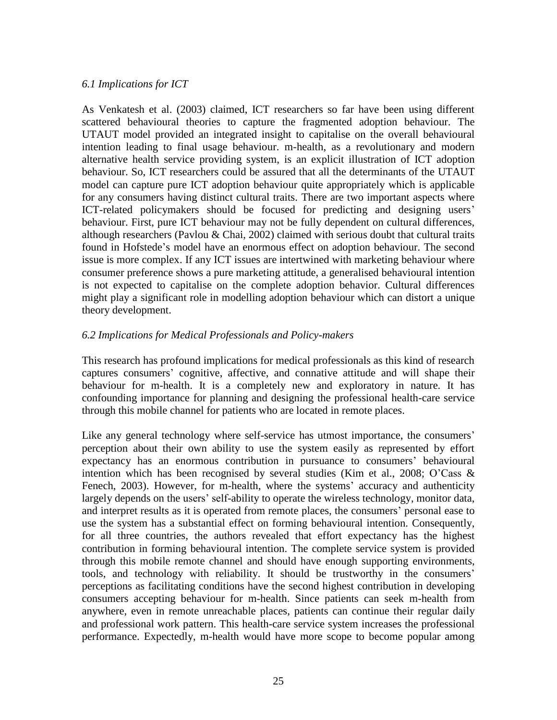#### *6.1 Implications for ICT*

As Venkatesh et al. (2003) claimed, ICT researchers so far have been using different scattered behavioural theories to capture the fragmented adoption behaviour. The UTAUT model provided an integrated insight to capitalise on the overall behavioural intention leading to final usage behaviour. m-health, as a revolutionary and modern alternative health service providing system, is an explicit illustration of ICT adoption behaviour. So, ICT researchers could be assured that all the determinants of the UTAUT model can capture pure ICT adoption behaviour quite appropriately which is applicable for any consumers having distinct cultural traits. There are two important aspects where ICT-related policymakers should be focused for predicting and designing users' behaviour. First, pure ICT behaviour may not be fully dependent on cultural differences, although researchers (Pavlou & Chai, 2002) claimed with serious doubt that cultural traits found in Hofstede's model have an enormous effect on adoption behaviour. The second issue is more complex. If any ICT issues are intertwined with marketing behaviour where consumer preference shows a pure marketing attitude, a generalised behavioural intention is not expected to capitalise on the complete adoption behavior. Cultural differences might play a significant role in modelling adoption behaviour which can distort a unique theory development.

#### *6.2 Implications for Medical Professionals and Policy-makers*

This research has profound implications for medical professionals as this kind of research captures consumers' cognitive, affective, and connative attitude and will shape their behaviour for m-health. It is a completely new and exploratory in nature. It has confounding importance for planning and designing the professional health-care service through this mobile channel for patients who are located in remote places.

Like any general technology where self-service has utmost importance, the consumers' perception about their own ability to use the system easily as represented by effort expectancy has an enormous contribution in pursuance to consumers' behavioural intention which has been recognised by several studies (Kim et al., 2008; O'Cass & Fenech, 2003). However, for m-health, where the systems' accuracy and authenticity largely depends on the users' self-ability to operate the wireless technology, monitor data, and interpret results as it is operated from remote places, the consumers' personal ease to use the system has a substantial effect on forming behavioural intention. Consequently, for all three countries, the authors revealed that effort expectancy has the highest contribution in forming behavioural intention. The complete service system is provided through this mobile remote channel and should have enough supporting environments, tools, and technology with reliability. It should be trustworthy in the consumers' perceptions as facilitating conditions have the second highest contribution in developing consumers accepting behaviour for m-health. Since patients can seek m-health from anywhere, even in remote unreachable places, patients can continue their regular daily and professional work pattern. This health-care service system increases the professional performance. Expectedly, m-health would have more scope to become popular among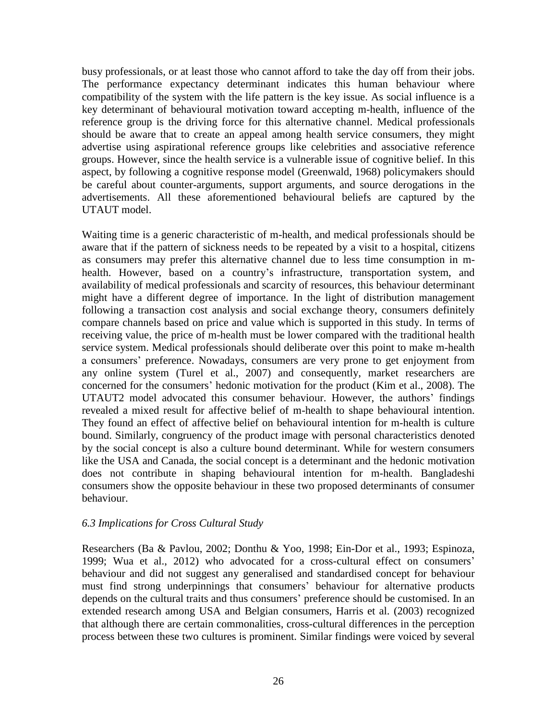busy professionals, or at least those who cannot afford to take the day off from their jobs. The performance expectancy determinant indicates this human behaviour where compatibility of the system with the life pattern is the key issue. As social influence is a key determinant of behavioural motivation toward accepting m-health, influence of the reference group is the driving force for this alternative channel. Medical professionals should be aware that to create an appeal among health service consumers, they might advertise using aspirational reference groups like celebrities and associative reference groups. However, since the health service is a vulnerable issue of cognitive belief. In this aspect, by following a cognitive response model (Greenwald, 1968) policymakers should be careful about counter-arguments, support arguments, and source derogations in the advertisements. All these aforementioned behavioural beliefs are captured by the UTAUT model.

Waiting time is a generic characteristic of m-health, and medical professionals should be aware that if the pattern of sickness needs to be repeated by a visit to a hospital, citizens as consumers may prefer this alternative channel due to less time consumption in mhealth. However, based on a country's infrastructure, transportation system, and availability of medical professionals and scarcity of resources, this behaviour determinant might have a different degree of importance. In the light of distribution management following a transaction cost analysis and social exchange theory, consumers definitely compare channels based on price and value which is supported in this study. In terms of receiving value, the price of m-health must be lower compared with the traditional health service system. Medical professionals should deliberate over this point to make m-health a consumers' preference. Nowadays, consumers are very prone to get enjoyment from any online system (Turel et al., 2007) and consequently, market researchers are concerned for the consumers' hedonic motivation for the product (Kim et al., 2008). The UTAUT2 model advocated this consumer behaviour. However, the authors' findings revealed a mixed result for affective belief of m-health to shape behavioural intention. They found an effect of affective belief on behavioural intention for m-health is culture bound. Similarly, congruency of the product image with personal characteristics denoted by the social concept is also a culture bound determinant. While for western consumers like the USA and Canada, the social concept is a determinant and the hedonic motivation does not contribute in shaping behavioural intention for m-health. Bangladeshi consumers show the opposite behaviour in these two proposed determinants of consumer behaviour.

#### *6.3 Implications for Cross Cultural Study*

Researchers (Ba & Pavlou, 2002; Donthu & Yoo, 1998; Ein-Dor et al., 1993; Espinoza, 1999; Wua et al., 2012) who advocated for a cross-cultural effect on consumers' behaviour and did not suggest any generalised and standardised concept for behaviour must find strong underpinnings that consumers' behaviour for alternative products depends on the cultural traits and thus consumers' preference should be customised. In an extended research among USA and Belgian consumers, Harris et al. (2003) recognized that although there are certain commonalities, cross-cultural differences in the perception process between these two cultures is prominent. Similar findings were voiced by several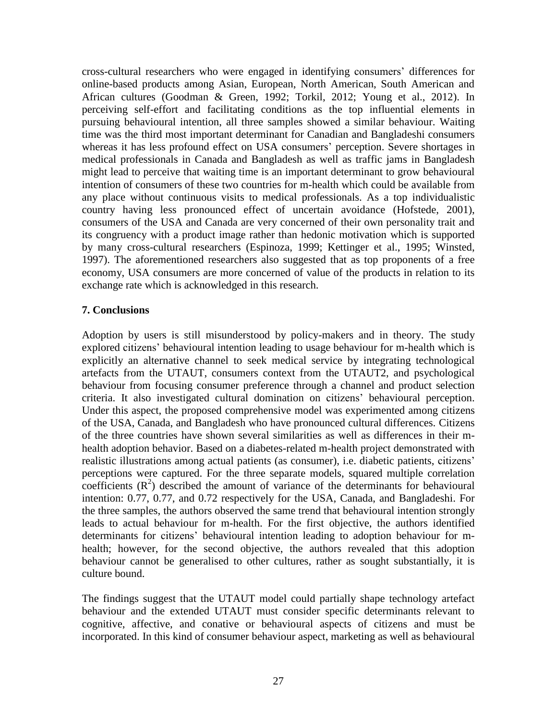cross-cultural researchers who were engaged in identifying consumers' differences for online-based products among Asian, European, North American, South American and African cultures (Goodman & Green, 1992; Torkil, 2012; Young et al., 2012). In perceiving self-effort and facilitating conditions as the top influential elements in pursuing behavioural intention, all three samples showed a similar behaviour. Waiting time was the third most important determinant for Canadian and Bangladeshi consumers whereas it has less profound effect on USA consumers' perception. Severe shortages in medical professionals in Canada and Bangladesh as well as traffic jams in Bangladesh might lead to perceive that waiting time is an important determinant to grow behavioural intention of consumers of these two countries for m-health which could be available from any place without continuous visits to medical professionals. As a top individualistic country having less pronounced effect of uncertain avoidance (Hofstede, 2001), consumers of the USA and Canada are very concerned of their own personality trait and its congruency with a product image rather than hedonic motivation which is supported by many cross-cultural researchers (Espinoza, 1999; Kettinger et al., 1995; Winsted, 1997). The aforementioned researchers also suggested that as top proponents of a free economy, USA consumers are more concerned of value of the products in relation to its exchange rate which is acknowledged in this research.

#### **7. Conclusions**

Adoption by users is still misunderstood by policy-makers and in theory. The study explored citizens' behavioural intention leading to usage behaviour for m-health which is explicitly an alternative channel to seek medical service by integrating technological artefacts from the UTAUT, consumers context from the UTAUT2, and psychological behaviour from focusing consumer preference through a channel and product selection criteria. It also investigated cultural domination on citizens' behavioural perception. Under this aspect, the proposed comprehensive model was experimented among citizens of the USA, Canada, and Bangladesh who have pronounced cultural differences. Citizens of the three countries have shown several similarities as well as differences in their mhealth adoption behavior. Based on a diabetes-related m-health project demonstrated with realistic illustrations among actual patients (as consumer), i.e. diabetic patients, citizens' perceptions were captured. For the three separate models, squared multiple correlation coefficients  $(R<sup>2</sup>)$  described the amount of variance of the determinants for behavioural intention: 0.77, 0.77, and 0.72 respectively for the USA, Canada, and Bangladeshi. For the three samples, the authors observed the same trend that behavioural intention strongly leads to actual behaviour for m-health. For the first objective, the authors identified determinants for citizens' behavioural intention leading to adoption behaviour for mhealth; however, for the second objective, the authors revealed that this adoption behaviour cannot be generalised to other cultures, rather as sought substantially, it is culture bound.

The findings suggest that the UTAUT model could partially shape technology artefact behaviour and the extended UTAUT must consider specific determinants relevant to cognitive, affective, and conative or behavioural aspects of citizens and must be incorporated. In this kind of consumer behaviour aspect, marketing as well as behavioural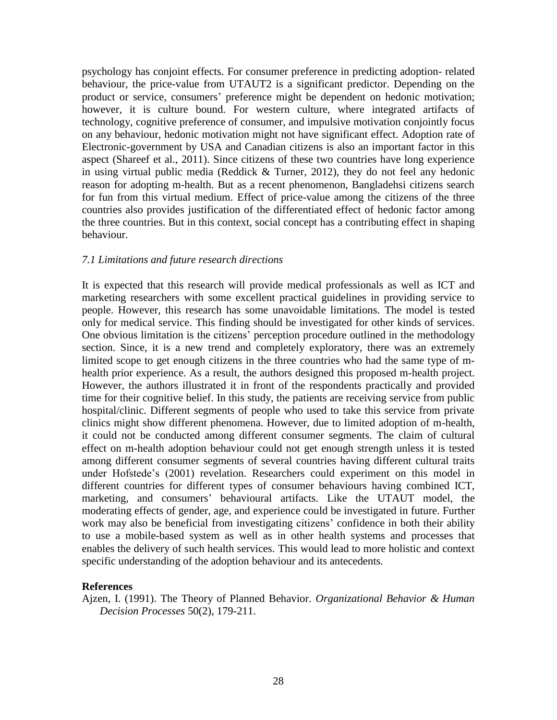psychology has conjoint effects. For consumer preference in predicting adoption- related behaviour, the price-value from UTAUT2 is a significant predictor. Depending on the product or service, consumers' preference might be dependent on hedonic motivation; however, it is culture bound. For western culture, where integrated artifacts of technology, cognitive preference of consumer, and impulsive motivation conjointly focus on any behaviour, hedonic motivation might not have significant effect. Adoption rate of Electronic-government by USA and Canadian citizens is also an important factor in this aspect (Shareef et al., 2011). Since citizens of these two countries have long experience in using virtual public media (Reddick & Turner, 2012), they do not feel any hedonic reason for adopting m-health. But as a recent phenomenon, Bangladehsi citizens search for fun from this virtual medium. Effect of price-value among the citizens of the three countries also provides justification of the differentiated effect of hedonic factor among the three countries. But in this context, social concept has a contributing effect in shaping behaviour.

#### *7.1 Limitations and future research directions*

It is expected that this research will provide medical professionals as well as ICT and marketing researchers with some excellent practical guidelines in providing service to people. However, this research has some unavoidable limitations. The model is tested only for medical service. This finding should be investigated for other kinds of services. One obvious limitation is the citizens' perception procedure outlined in the methodology section. Since, it is a new trend and completely exploratory, there was an extremely limited scope to get enough citizens in the three countries who had the same type of mhealth prior experience. As a result, the authors designed this proposed m-health project. However, the authors illustrated it in front of the respondents practically and provided time for their cognitive belief. In this study, the patients are receiving service from public hospital/clinic. Different segments of people who used to take this service from private clinics might show different phenomena. However, due to limited adoption of m-health, it could not be conducted among different consumer segments. The claim of cultural effect on m-health adoption behaviour could not get enough strength unless it is tested among different consumer segments of several countries having different cultural traits under Hofstede's (2001) revelation. Researchers could experiment on this model in different countries for different types of consumer behaviours having combined ICT, marketing, and consumers' behavioural artifacts. Like the UTAUT model, the moderating effects of gender, age, and experience could be investigated in future. Further work may also be beneficial from investigating citizens' confidence in both their ability to use a mobile-based system as well as in other health systems and processes that enables the delivery of such health services. This would lead to more holistic and context specific understanding of the adoption behaviour and its antecedents.

#### **References**

Ajzen, I. (1991). The Theory of Planned Behavior. *Organizational Behavior & Human Decision Processes* 50(2), 179-211.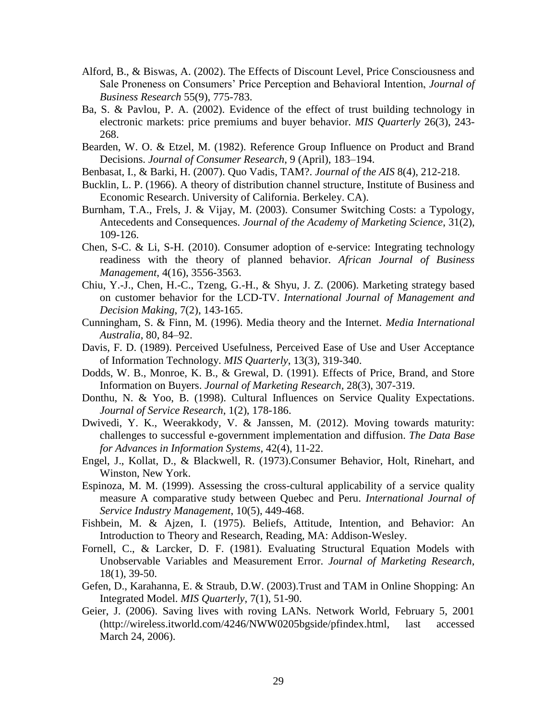- Alford, B., & Biswas, A. (2002). The Effects of Discount Level, Price Consciousness and Sale Proneness on Consumers' Price Perception and Behavioral Intention, *Journal of Business Research* 55(9), 775-783.
- Ba, S. & Pavlou, P. A. (2002). Evidence of the effect of trust building technology in electronic markets: price premiums and buyer behavior. *MIS Quarterly* 26(3), 243- 268.
- Bearden, W. O. & Etzel, M. (1982). Reference Group Influence on Product and Brand Decisions. *Journal of Consumer Research*, 9 (April), 183–194.
- Benbasat, I., & Barki, H. (2007). Quo Vadis, TAM?. *Journal of the AIS* 8(4), 212-218.
- Bucklin, L. P. (1966). A theory of distribution channel structure, Institute of Business and Economic Research. University of California. Berkeley. CA).
- Burnham, T.A., Frels, J. & Vijay, M. (2003). Consumer Switching Costs: a Typology, Antecedents and Consequences. *Journal of the Academy of Marketing Science*, 31(2), 109-126.
- Chen, S-C. & Li, S-H. (2010). Consumer adoption of e-service: Integrating technology readiness with the theory of planned behavior. *African Journal of Business Management*, 4(16), 3556-3563.
- Chiu, Y.-J., Chen, H.-C., Tzeng, G.-H., & Shyu, J. Z. (2006). Marketing strategy based on customer behavior for the LCD-TV. *International Journal of Management and Decision Making*, 7(2), 143-165.
- Cunningham, S. & Finn, M. (1996). Media theory and the Internet. *Media International Australia*, 80, 84–92.
- Davis, F. D. (1989). Perceived Usefulness, Perceived Ease of Use and User Acceptance of Information Technology. *MIS Quarterly*, 13(3), 319-340.
- Dodds, W. B., Monroe, K. B., & Grewal, D. (1991). Effects of Price, Brand, and Store Information on Buyers. *Journal of Marketing Research,* 28(3), 307-319.
- Donthu, N. & Yoo, B. (1998). Cultural Influences on Service Quality Expectations. *Journal of Service Research*, 1(2), 178-186.
- Dwivedi, Y. K., Weerakkody, V. & Janssen, M. (2012). Moving towards maturity: challenges to successful e-government implementation and diffusion. *The Data Base for Advances in Information Systems*, 42(4), 11-22.
- Engel, J., Kollat, D., & Blackwell, R. (1973).Consumer Behavior, Holt, Rinehart, and Winston, New York.
- Espinoza, M. M. (1999). Assessing the cross-cultural applicability of a service quality measure A comparative study between Quebec and Peru. *International Journal of Service Industry Management*, 10(5), 449-468.
- Fishbein, M. & Ajzen, I. (1975). Beliefs, Attitude, Intention, and Behavior: An Introduction to Theory and Research, Reading, MA: Addison-Wesley.
- Fornell, C., & Larcker, D. F. (1981). Evaluating Structural Equation Models with Unobservable Variables and Measurement Error. *Journal of Marketing Research*, 18(1), 39-50.
- Gefen, D., Karahanna, E. & Straub, D.W. (2003).Trust and TAM in Online Shopping: An Integrated Model. *MIS Quarterly*, 7(1), 51-90.
- Geier, J. (2006). Saving lives with roving LANs. Network World, February 5, 2001 (http://wireless.itworld.com/4246/NWW0205bgside/pfindex.html, last accessed March 24, 2006).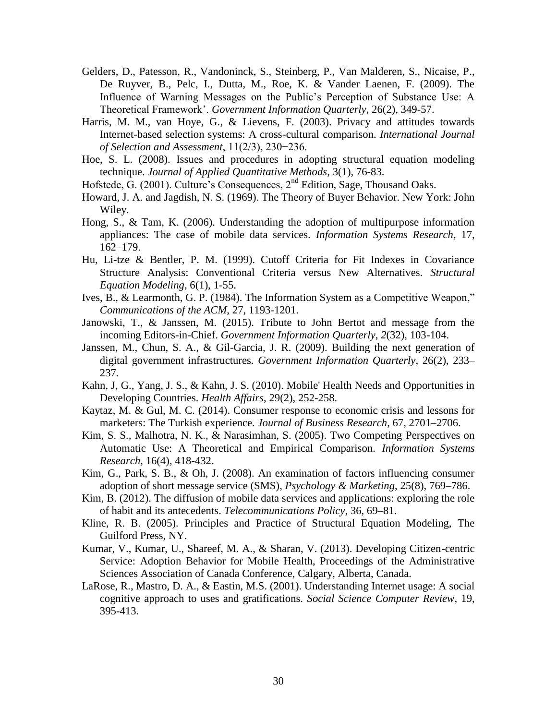- Gelders, D., Patesson, R., Vandoninck, S., Steinberg, P., Van Malderen, S., Nicaise, P., De Ruyver, B., Pelc, I., Dutta, M., Roe, K. & Vander Laenen, F. (2009). The Influence of Warning Messages on the Public's Perception of Substance Use: A Theoretical Framework'. *Government Information Quarterly*, 26(2), 349-57.
- Harris, M. M., van Hoye, G., & Lievens, F. (2003). Privacy and attitudes towards Internet-based selection systems: A cross-cultural comparison. *International Journal of Selection and Assessment*, 11(2/3), 230−236.
- Hoe, S. L. (2008). Issues and procedures in adopting structural equation modeling technique. *Journal of Applied Quantitative Methods,* 3(1), 76-83.
- Hofstede, G. (2001). Culture's Consequences, 2<sup>nd</sup> Edition, Sage, Thousand Oaks.
- Howard, J. A. and Jagdish, N. S. (1969). The Theory of Buyer Behavior. New York: John Wiley.
- Hong, S., & Tam, K. (2006). Understanding the adoption of multipurpose information appliances: The case of mobile data services. *Information Systems Research*, 17, 162–179.
- Hu, Li-tze & Bentler, P. M. (1999). Cutoff Criteria for Fit Indexes in Covariance Structure Analysis: Conventional Criteria versus New Alternatives. *Structural Equation Modeling*, 6(1), 1-55.
- Ives, B., & Learmonth, G. P. (1984). The Information System as a Competitive Weapon," *Communications of the ACM,* 27, 1193-1201.
- Janowski, T., & Janssen, M. (2015). Tribute to John Bertot and message from the incoming Editors-in-Chief. *Government Information Quarterly*, *2*(32), 103-104.
- Janssen, M., Chun, S. A., & Gil-Garcia, J. R. (2009). Building the next generation of digital government infrastructures. *Government Information Quarterly*, 26(2), 233– 237.
- Kahn, J, G., Yang, J. S., & Kahn, J. S. (2010). Mobile' Health Needs and Opportunities in Developing Countries. *Health Affairs*, 29(2), 252-258.
- Kaytaz, M. & Gul, M. C. (2014). Consumer response to economic crisis and lessons for marketers: The Turkish experience. *Journal of Business Research*, 67, 2701–2706.
- Kim, S. S., Malhotra, N. K., & Narasimhan, S. (2005). Two Competing Perspectives on Automatic Use: A Theoretical and Empirical Comparison. *Information Systems Research,* 16(4), 418-432.
- Kim, G., Park, S. B., & Oh, J. (2008). An examination of factors influencing consumer adoption of short message service (SMS), *Psychology & Marketing*, 25(8), 769–786.
- Kim, B. (2012). The diffusion of mobile data services and applications: exploring the role of habit and its antecedents. *Telecommunications Policy*, 36, 69–81.
- Kline, R. B. (2005). Principles and Practice of Structural Equation Modeling, The Guilford Press, NY.
- Kumar, V., Kumar, U., Shareef, M. A., & Sharan, V. (2013). Developing Citizen-centric Service: Adoption Behavior for Mobile Health, Proceedings of the Administrative Sciences Association of Canada Conference, Calgary, Alberta, Canada.
- LaRose, R., Mastro, D. A., & Eastin, M.S. (2001). Understanding Internet usage: A social cognitive approach to uses and gratifications. *Social Science Computer Review*, 19, 395-413.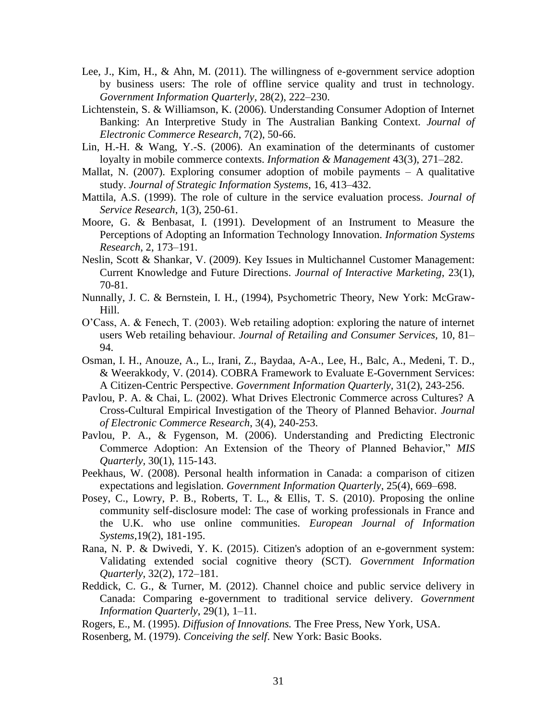- Lee, J., Kim, H., & Ahn, M. (2011). The willingness of e-government service adoption by business users: The role of offline service quality and trust in technology. *Government Information Quarterly*, 28(2), 222–230.
- Lichtenstein, S. & Williamson, K. (2006). Understanding Consumer Adoption of Internet Banking: An Interpretive Study in The Australian Banking Context. *Journal of Electronic Commerce Research*, 7(2), 50-66.
- Lin, H.-H. & Wang, Y.-S. (2006). An examination of the determinants of customer loyalty in mobile commerce contexts. *Information & Management* 43(3), 271–282.
- Mallat, N. (2007). Exploring consumer adoption of mobile payments  $-$  A qualitative study. *Journal of Strategic Information Systems*, 16, 413–432.
- Mattila, A.S. (1999). The role of culture in the service evaluation process. *Journal of Service Research*, 1(3), 250-61.
- Moore, G. & Benbasat, I. (1991). Development of an Instrument to Measure the Perceptions of Adopting an Information Technology Innovation. *Information Systems Research*, 2, 173–191.
- Neslin, Scott & Shankar, V. (2009). Key Issues in Multichannel Customer Management: Current Knowledge and Future Directions. *Journal of Interactive Marketing*, 23(1), 70-81.
- Nunnally, J. C. & Bernstein, I. H., (1994), Psychometric Theory, New York: McGraw-Hill.
- O'Cass, A. & Fenech, T. (2003). Web retailing adoption: exploring the nature of internet users Web retailing behaviour. *Journal of Retailing and Consumer Services,* 10, 81– 94.
- Osman, I. H., Anouze, A., L., Irani, Z., Baydaa, A-A., Lee, H., Balc, A., Medeni, T. D., & Weerakkody, V. (2014). COBRA Framework to Evaluate E-Government Services: A Citizen-Centric Perspective. *Government Information Quarterly,* 31(2), 243-256.
- Pavlou, P. A. & Chai, L. (2002). What Drives Electronic Commerce across Cultures? A Cross-Cultural Empirical Investigation of the Theory of Planned Behavior. *Journal of Electronic Commerce Research*, 3(4), 240-253.
- Pavlou, P. A., & Fygenson, M. (2006). Understanding and Predicting Electronic Commerce Adoption: An Extension of the Theory of Planned Behavior," *MIS Quarterly,* 30(1), 115-143.
- Peekhaus, W. (2008). Personal health information in Canada: a comparison of citizen expectations and legislation. *Government Information Quarterly*, 25(4), 669–698.
- Posey, C., Lowry, P. B., Roberts, T. L., & Ellis, T. S. (2010). Proposing the online community self-disclosure model: The case of working professionals in France and the U.K. who use online communities. *European Journal of Information Systems*,19(2), 181-195.
- Rana, N. P. & Dwivedi, Y. K. (2015). Citizen's adoption of an e-government system: Validating extended social cognitive theory (SCT). *Government Information Quarterly*, 32(2), 172–181.
- Reddick, C. G., & Turner, M. (2012). Channel choice and public service delivery in Canada: Comparing e-government to traditional service delivery. *Government Information Quarterly*, 29(1), 1–11.

Rogers, E., M. (1995). *Diffusion of Innovations.* The Free Press, New York, USA.

Rosenberg, M. (1979). *Conceiving the self*. New York: Basic Books.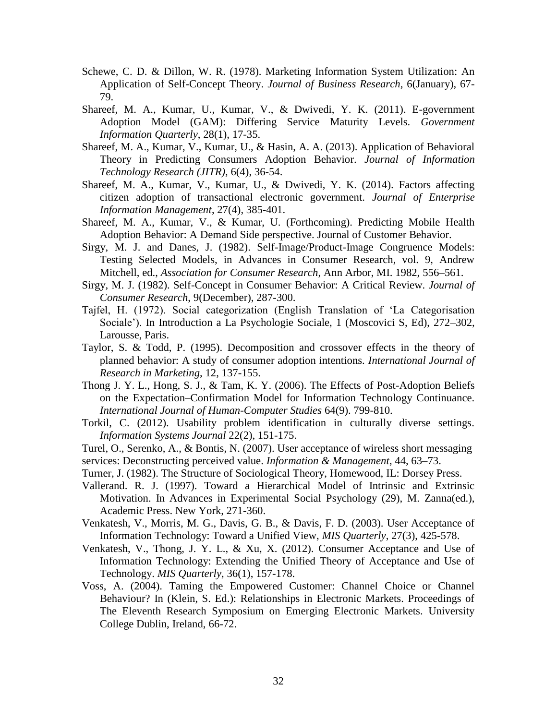- Schewe, C. D. & Dillon, W. R. (1978). Marketing Information System Utilization: An Application of Self-Concept Theory. *Journal of Business Research*, 6(January), 67- 79.
- Shareef, M. A., Kumar, U., Kumar, V., & Dwivedi, Y. K. (2011). E-government Adoption Model (GAM): Differing Service Maturity Levels. *Government Information Quarterly*, 28(1), 17-35.
- Shareef, M. A., Kumar, V., Kumar, U., & Hasin, A. A. (2013). Application of Behavioral Theory in Predicting Consumers Adoption Behavior. *Journal of Information Technology Research (JITR)*, 6(4), 36-54.
- Shareef, M. A., Kumar, V., Kumar, U., & Dwivedi, Y. K. (2014). Factors affecting citizen adoption of transactional electronic government. *Journal of Enterprise Information Management*, 27(4), 385-401.
- Shareef, M. A., Kumar, V., & Kumar, U. (Forthcoming). Predicting Mobile Health Adoption Behavior: A Demand Side perspective. Journal of Customer Behavior.
- Sirgy, M. J. and Danes, J. (1982). Self-Image/Product-Image Congruence Models: Testing Selected Models, in Advances in Consumer Research, vol. 9, Andrew Mitchell, ed., *Association for Consumer Research*, Ann Arbor, MI. 1982, 556–561.
- Sirgy, M. J. (1982). Self-Concept in Consumer Behavior: A Critical Review. *Journal of Consumer Research*, 9(December), 287-300.
- Tajfel, H. (1972). Social categorization (English Translation of 'La Categorisation Sociale'). In Introduction a La Psychologie Sociale, 1 (Moscovici S, Ed), 272–302, Larousse, Paris.
- Taylor, S. & Todd, P. (1995). Decomposition and crossover effects in the theory of planned behavior: A study of consumer adoption intentions. *International Journal of Research in Marketing*, 12, 137-155.
- Thong J. Y. L., Hong, S. J., & Tam, K. Y. (2006). The Effects of Post-Adoption Beliefs on the Expectation–Confirmation Model for Information Technology Continuance. *International Journal of Human-Computer Studies* 64(9). 799-810.
- Torkil, C. (2012). Usability problem identification in culturally diverse settings. *Information Systems Journal* 22(2), 151-175.
- Turel, O., Serenko, A., & Bontis, N. (2007). User acceptance of wireless short messaging services: Deconstructing perceived value. *Information & Management*, 44, 63–73.
- Turner, J. (1982). The Structure of Sociological Theory, Homewood, IL: Dorsey Press.
- Vallerand. R. J. (1997). Toward a Hierarchical Model of Intrinsic and Extrinsic Motivation. In Advances in Experimental Social Psychology (29), M. Zanna(ed.), Academic Press. New York, 271-360.
- Venkatesh, V., Morris, M. G., Davis, G. B., & Davis, F. D. (2003). User Acceptance of Information Technology: Toward a Unified View, *MIS Quarterly*, 27(3), 425-578.
- Venkatesh, V., Thong, J. Y. L., & Xu, X. (2012). Consumer Acceptance and Use of Information Technology: Extending the Unified Theory of Acceptance and Use of Technology. *MIS Quarterly*, 36(1), 157-178.
- Voss, A. (2004). Taming the Empowered Customer: Channel Choice or Channel Behaviour? In (Klein, S. Ed.): Relationships in Electronic Markets. Proceedings of The Eleventh Research Symposium on Emerging Electronic Markets. University College Dublin, Ireland, 66-72.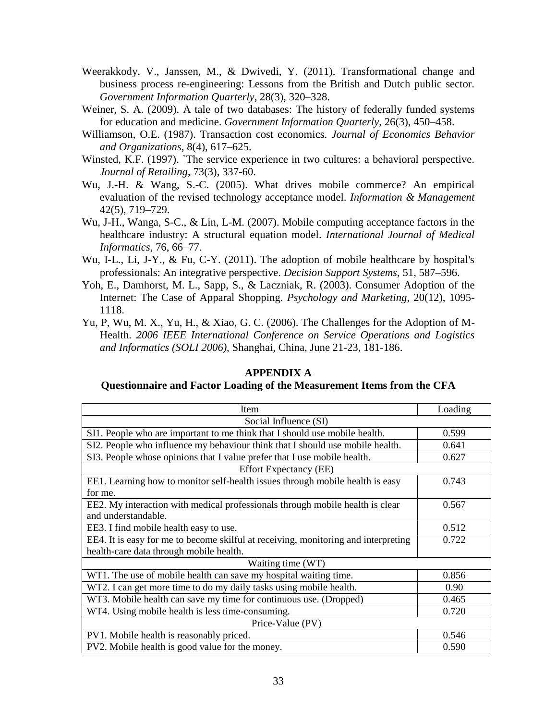- Weerakkody, V., Janssen, M., & Dwivedi, Y. (2011). Transformational change and business process re-engineering: Lessons from the British and Dutch public sector. *Government Information Quarterly*, 28(3), 320–328.
- Weiner, S. A. (2009). A tale of two databases: The history of federally funded systems for education and medicine. *Government Information Quarterly*, 26(3), 450–458.
- Williamson, O.E. (1987). Transaction cost economics. *Journal of Economics Behavior and Organizations*, 8(4), 617–625.
- Winsted, K.F. (1997). `The service experience in two cultures: a behavioral perspective. *Journal of Retailing*, 73(3), 337-60.
- Wu, J.-H. & Wang, S.-C. (2005). What drives mobile commerce? An empirical evaluation of the revised technology acceptance model. *Information & Management* 42(5), 719–729.
- Wu, J-H., Wanga, S-C., & Lin, L-M. (2007). Mobile computing acceptance factors in the healthcare industry: A structural equation model. *International Journal of Medical Informatics*, 76, 66–77.
- Wu, I-L., Li, J-Y., & Fu, C-Y. (2011). The adoption of mobile healthcare by hospital's professionals: An integrative perspective. *Decision Support Systems*, 51, 587–596.
- Yoh, E., Damhorst, M. L., Sapp, S., & Laczniak, R. (2003). Consumer Adoption of the Internet: The Case of Apparal Shopping. *Psychology and Marketing*, 20(12), 1095- 1118.
- Yu, P, Wu, M. X., Yu, H., & Xiao, G. C. (2006). The Challenges for the Adoption of M-Health. *2006 IEEE International Conference on Service Operations and Logistics and Informatics (SOLI 2006),* Shanghai, China, June 21-23, 181-186.

| <b>Item</b>                                                                        | Loading |  |  |  |  |  |
|------------------------------------------------------------------------------------|---------|--|--|--|--|--|
| Social Influence (SI)                                                              |         |  |  |  |  |  |
| SI1. People who are important to me think that I should use mobile health.         | 0.599   |  |  |  |  |  |
| SI2. People who influence my behaviour think that I should use mobile health.      | 0.641   |  |  |  |  |  |
| SI3. People whose opinions that I value prefer that I use mobile health.           | 0.627   |  |  |  |  |  |
| <b>Effort Expectancy (EE)</b>                                                      |         |  |  |  |  |  |
| EE1. Learning how to monitor self-health issues through mobile health is easy      | 0.743   |  |  |  |  |  |
| for me.                                                                            |         |  |  |  |  |  |
| EE2. My interaction with medical professionals through mobile health is clear      | 0.567   |  |  |  |  |  |
| and understandable.                                                                |         |  |  |  |  |  |
| EE3. I find mobile health easy to use.                                             | 0.512   |  |  |  |  |  |
| EE4. It is easy for me to become skilful at receiving, monitoring and interpreting | 0.722   |  |  |  |  |  |
| health-care data through mobile health.                                            |         |  |  |  |  |  |
| Waiting time (WT)                                                                  |         |  |  |  |  |  |
| WT1. The use of mobile health can save my hospital waiting time.                   | 0.856   |  |  |  |  |  |
| WT2. I can get more time to do my daily tasks using mobile health.                 | 0.90    |  |  |  |  |  |
| WT3. Mobile health can save my time for continuous use. (Dropped)                  | 0.465   |  |  |  |  |  |
| WT4. Using mobile health is less time-consuming.                                   | 0.720   |  |  |  |  |  |
| Price-Value (PV)                                                                   |         |  |  |  |  |  |
| PV1. Mobile health is reasonably priced.                                           | 0.546   |  |  |  |  |  |
| PV2. Mobile health is good value for the money.                                    | 0.590   |  |  |  |  |  |

#### **APPENDIX A**

#### **Questionnaire and Factor Loading of the Measurement Items from the CFA**